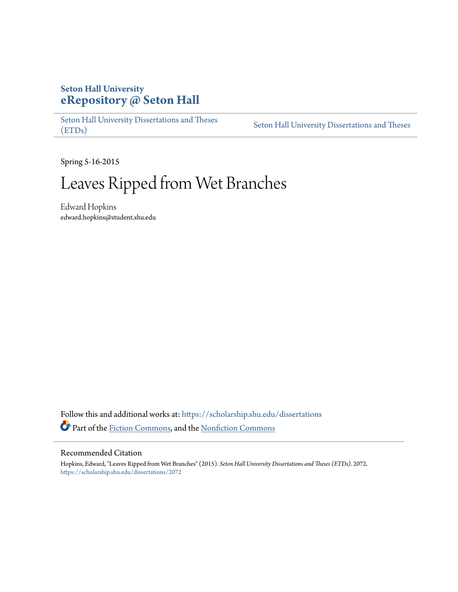# **Seton Hall University [eRepository @ Seton Hall](https://scholarship.shu.edu?utm_source=scholarship.shu.edu%2Fdissertations%2F2072&utm_medium=PDF&utm_campaign=PDFCoverPages)**

[Seton Hall University Dissertations and Theses](https://scholarship.shu.edu/dissertations?utm_source=scholarship.shu.edu%2Fdissertations%2F2072&utm_medium=PDF&utm_campaign=PDFCoverPages) [\(ETDs\)](https://scholarship.shu.edu/dissertations?utm_source=scholarship.shu.edu%2Fdissertations%2F2072&utm_medium=PDF&utm_campaign=PDFCoverPages)

[Seton Hall University Dissertations and Theses](https://scholarship.shu.edu/etds?utm_source=scholarship.shu.edu%2Fdissertations%2F2072&utm_medium=PDF&utm_campaign=PDFCoverPages)

Spring 5-16-2015

# Leaves Ripped from Wet Branches

Edward Hopkins edward.hopkins@student.shu.edu

Follow this and additional works at: [https://scholarship.shu.edu/dissertations](https://scholarship.shu.edu/dissertations?utm_source=scholarship.shu.edu%2Fdissertations%2F2072&utm_medium=PDF&utm_campaign=PDFCoverPages) Part of the [Fiction Commons](http://network.bepress.com/hgg/discipline/1151?utm_source=scholarship.shu.edu%2Fdissertations%2F2072&utm_medium=PDF&utm_campaign=PDFCoverPages), and the [Nonfiction Commons](http://network.bepress.com/hgg/discipline/1152?utm_source=scholarship.shu.edu%2Fdissertations%2F2072&utm_medium=PDF&utm_campaign=PDFCoverPages)

### Recommended Citation

Hopkins, Edward, "Leaves Ripped from Wet Branches" (2015). *Seton Hall University Dissertations and Theses (ETDs)*. 2072. [https://scholarship.shu.edu/dissertations/2072](https://scholarship.shu.edu/dissertations/2072?utm_source=scholarship.shu.edu%2Fdissertations%2F2072&utm_medium=PDF&utm_campaign=PDFCoverPages)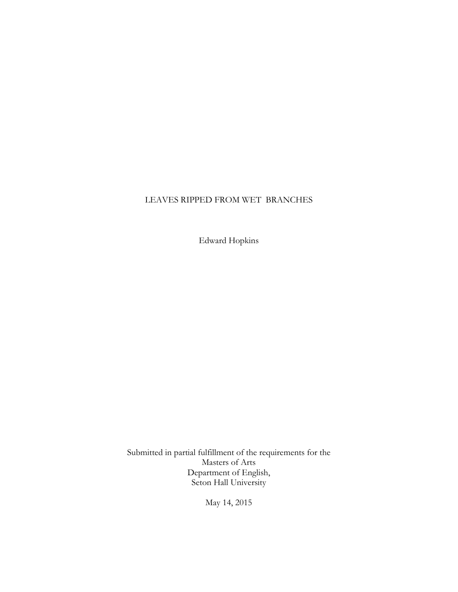## LEAVES RIPPED FROM WET BRANCHES

Edward Hopkins

Submitted in partial fulfillment of the requirements for the Masters of Arts Department of English, Seton Hall University

May 14, 2015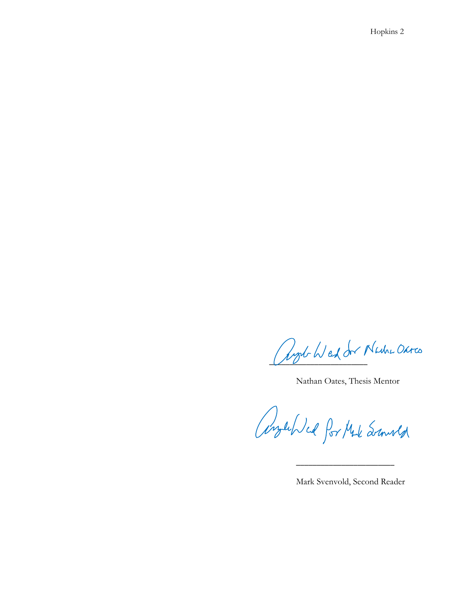Ryd Wed der Nache Ohres

Nathan Oates, Thesis Mentor

AngelDed for Made Second

 $\overline{\phantom{a}}$  , and the contract of the contract of the contract of the contract of the contract of the contract of the contract of the contract of the contract of the contract of the contract of the contract of the contrac

Mark Svenvold, Second Reader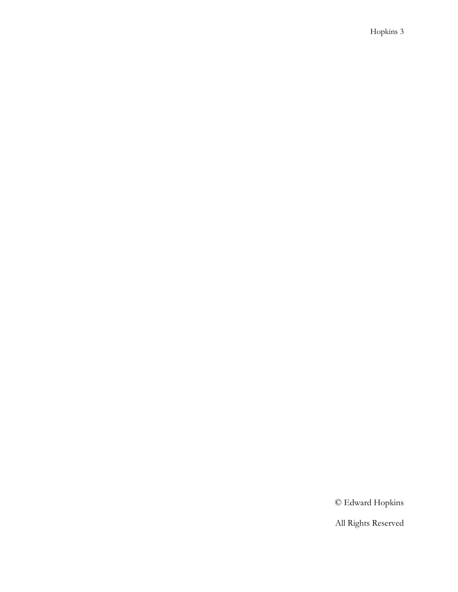© Edward Hopkins

All Rights Reserved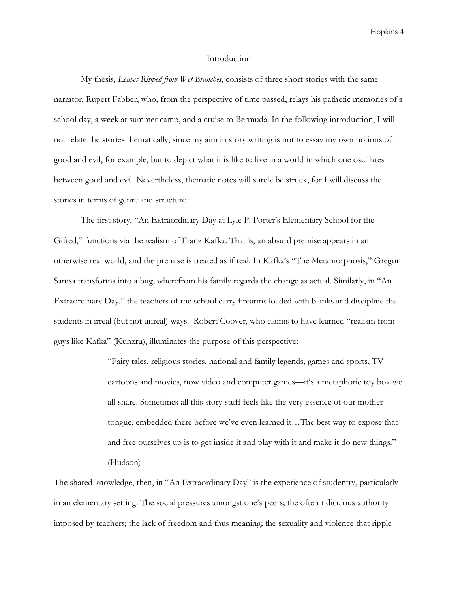#### Introduction

My thesis, Leaves Ripped from Wet Branches, consists of three short stories with the same narrator, Rupert Fabber, who, from the perspective of time passed, relays his pathetic memories of a school day, a week at summer camp, and a cruise to Bermuda. In the following introduction, I will not relate the stories thematically, since my aim in story writing is not to essay my own notions of good and evil, for example, but to depict what it is like to live in a world in which one oscillates between good and evil. Nevertheless, thematic notes will surely be struck, for I will discuss the stories in terms of genre and structure.

 The first story, "An Extraordinary Day at Lyle P. Porter's Elementary School for the Gifted," functions via the realism of Franz Kafka. That is, an absurd premise appears in an otherwise real world, and the premise is treated as if real. In Kafka's "The Metamorphosis," Gregor Samsa transforms into a bug, wherefrom his family regards the change as actual. Similarly, in "An Extraordinary Day," the teachers of the school carry firearms loaded with blanks and discipline the students in irreal (but not unreal) ways. Robert Coover, who claims to have learned "realism from guys like Kafka" (Kunzru), illuminates the purpose of this perspective:

> "Fairy tales, religious stories, national and family legends, games and sports, TV cartoons and movies, now video and computer games—it's a metaphoric toy box we all share. Sometimes all this story stuff feels like the very essence of our mother tongue, embedded there before we've even learned it…The best way to expose that and free ourselves up is to get inside it and play with it and make it do new things." (Hudson)

The shared knowledge, then, in "An Extraordinary Day" is the experience of studentry, particularly in an elementary setting. The social pressures amongst one's peers; the often ridiculous authority imposed by teachers; the lack of freedom and thus meaning; the sexuality and violence that ripple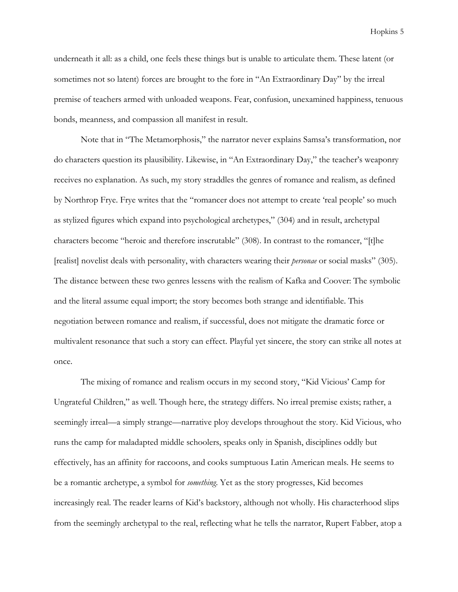underneath it all: as a child, one feels these things but is unable to articulate them. These latent (or sometimes not so latent) forces are brought to the fore in "An Extraordinary Day" by the irreal premise of teachers armed with unloaded weapons. Fear, confusion, unexamined happiness, tenuous bonds, meanness, and compassion all manifest in result.

 Note that in "The Metamorphosis," the narrator never explains Samsa's transformation, nor do characters question its plausibility. Likewise, in "An Extraordinary Day," the teacher's weaponry receives no explanation. As such, my story straddles the genres of romance and realism, as defined by Northrop Frye. Frye writes that the "romancer does not attempt to create 'real people' so much as stylized figures which expand into psychological archetypes," (304) and in result, archetypal characters become "heroic and therefore inscrutable" (308). In contrast to the romancer, "[t]he [realist] novelist deals with personality, with characters wearing their personae or social masks" (305). The distance between these two genres lessens with the realism of Kafka and Coover: The symbolic and the literal assume equal import; the story becomes both strange and identifiable. This negotiation between romance and realism, if successful, does not mitigate the dramatic force or multivalent resonance that such a story can effect. Playful yet sincere, the story can strike all notes at once.

 The mixing of romance and realism occurs in my second story, "Kid Vicious' Camp for Ungrateful Children," as well. Though here, the strategy differs. No irreal premise exists; rather, a seemingly irreal—a simply strange—narrative ploy develops throughout the story. Kid Vicious, who runs the camp for maladapted middle schoolers, speaks only in Spanish, disciplines oddly but effectively, has an affinity for raccoons, and cooks sumptuous Latin American meals. He seems to be a romantic archetype, a symbol for something. Yet as the story progresses, Kid becomes increasingly real. The reader learns of Kid's backstory, although not wholly. His characterhood slips from the seemingly archetypal to the real, reflecting what he tells the narrator, Rupert Fabber, atop a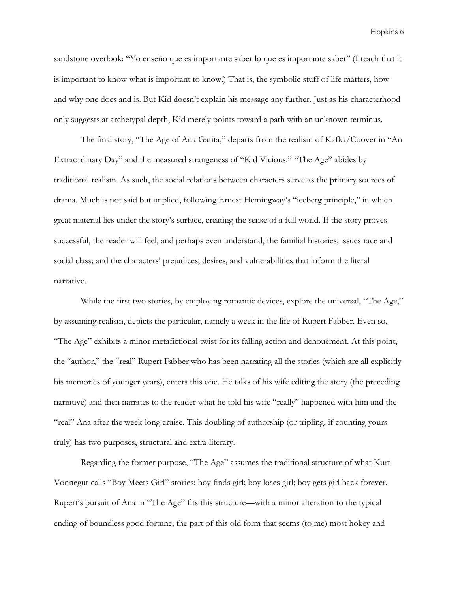sandstone overlook: "Yo enseño que es importante saber lo que es importante saber" (I teach that it is important to know what is important to know.) That is, the symbolic stuff of life matters, how and why one does and is. But Kid doesn't explain his message any further. Just as his characterhood only suggests at archetypal depth, Kid merely points toward a path with an unknown terminus.

 The final story, "The Age of Ana Gatita," departs from the realism of Kafka/Coover in "An Extraordinary Day" and the measured strangeness of "Kid Vicious." "The Age" abides by traditional realism. As such, the social relations between characters serve as the primary sources of drama. Much is not said but implied, following Ernest Hemingway's "iceberg principle," in which great material lies under the story's surface, creating the sense of a full world. If the story proves successful, the reader will feel, and perhaps even understand, the familial histories; issues race and social class; and the characters' prejudices, desires, and vulnerabilities that inform the literal narrative.

 While the first two stories, by employing romantic devices, explore the universal, "The Age," by assuming realism, depicts the particular, namely a week in the life of Rupert Fabber. Even so, "The Age" exhibits a minor metafictional twist for its falling action and denouement. At this point, the "author," the "real" Rupert Fabber who has been narrating all the stories (which are all explicitly his memories of younger years), enters this one. He talks of his wife editing the story (the preceding narrative) and then narrates to the reader what he told his wife "really" happened with him and the "real" Ana after the week-long cruise. This doubling of authorship (or tripling, if counting yours truly) has two purposes, structural and extra-literary.

 Regarding the former purpose, "The Age" assumes the traditional structure of what Kurt Vonnegut calls "Boy Meets Girl" stories: boy finds girl; boy loses girl; boy gets girl back forever. Rupert's pursuit of Ana in "The Age" fits this structure—with a minor alteration to the typical ending of boundless good fortune, the part of this old form that seems (to me) most hokey and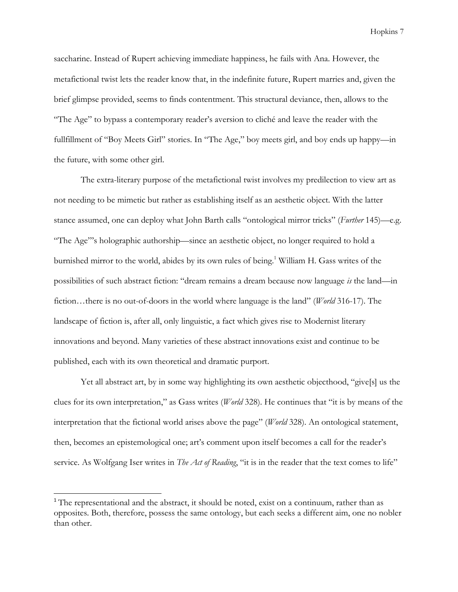saccharine. Instead of Rupert achieving immediate happiness, he fails with Ana. However, the metafictional twist lets the reader know that, in the indefinite future, Rupert marries and, given the brief glimpse provided, seems to finds contentment. This structural deviance, then, allows to the "The Age" to bypass a contemporary reader's aversion to cliché and leave the reader with the fullfillment of "Boy Meets Girl" stories. In "The Age," boy meets girl, and boy ends up happy—in the future, with some other girl.

 The extra-literary purpose of the metafictional twist involves my predilection to view art as not needing to be mimetic but rather as establishing itself as an aesthetic object. With the latter stance assumed, one can deploy what John Barth calls "ontological mirror tricks" (Further 145)—e.g. "The Age"'s holographic authorship—since an aesthetic object, no longer required to hold a burnished mirror to the world, abides by its own rules of being.<sup>1</sup> William H. Gass writes of the possibilities of such abstract fiction: "dream remains a dream because now language is the land—in fiction…there is no out-of-doors in the world where language is the land" (World 316-17). The landscape of fiction is, after all, only linguistic, a fact which gives rise to Modernist literary innovations and beyond. Many varieties of these abstract innovations exist and continue to be published, each with its own theoretical and dramatic purport.

 Yet all abstract art, by in some way highlighting its own aesthetic objecthood, "give[s] us the clues for its own interpretation," as Gass writes (World 328). He continues that "it is by means of the interpretation that the fictional world arises above the page" (*World* 328). An ontological statement, then, becomes an epistemological one; art's comment upon itself becomes a call for the reader's service. As Wolfgang Iser writes in The Act of Reading, "it is in the reader that the text comes to life"

 $\overline{a}$ 

<sup>&</sup>lt;sup>1</sup> The representational and the abstract, it should be noted, exist on a continuum, rather than as opposites. Both, therefore, possess the same ontology, but each seeks a different aim, one no nobler than other.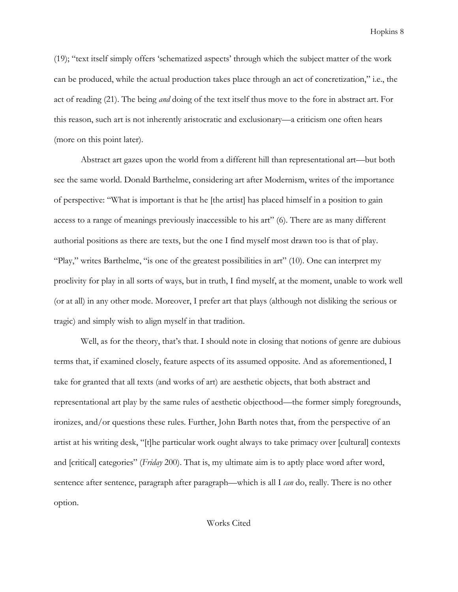(19); "text itself simply offers 'schematized aspects' through which the subject matter of the work can be produced, while the actual production takes place through an act of concretization," i.e., the act of reading (21). The being *and* doing of the text itself thus move to the fore in abstract art. For this reason, such art is not inherently aristocratic and exclusionary—a criticism one often hears (more on this point later).

 Abstract art gazes upon the world from a different hill than representational art—but both see the same world. Donald Barthelme, considering art after Modernism, writes of the importance of perspective: "What is important is that he [the artist] has placed himself in a position to gain access to a range of meanings previously inaccessible to his art" (6). There are as many different authorial positions as there are texts, but the one I find myself most drawn too is that of play. "Play," writes Barthelme, "is one of the greatest possibilities in art" (10). One can interpret my proclivity for play in all sorts of ways, but in truth, I find myself, at the moment, unable to work well (or at all) in any other mode. Moreover, I prefer art that plays (although not disliking the serious or tragic) and simply wish to align myself in that tradition.

 Well, as for the theory, that's that. I should note in closing that notions of genre are dubious terms that, if examined closely, feature aspects of its assumed opposite. And as aforementioned, I take for granted that all texts (and works of art) are aesthetic objects, that both abstract and representational art play by the same rules of aesthetic objecthood—the former simply foregrounds, ironizes, and/or questions these rules. Further, John Barth notes that, from the perspective of an artist at his writing desk, "[t]he particular work ought always to take primacy over [cultural] contexts and [critical] categories" (*Friday* 200). That is, my ultimate aim is to aptly place word after word, sentence after sentence, paragraph after paragraph—which is all I *can* do, really. There is no other option.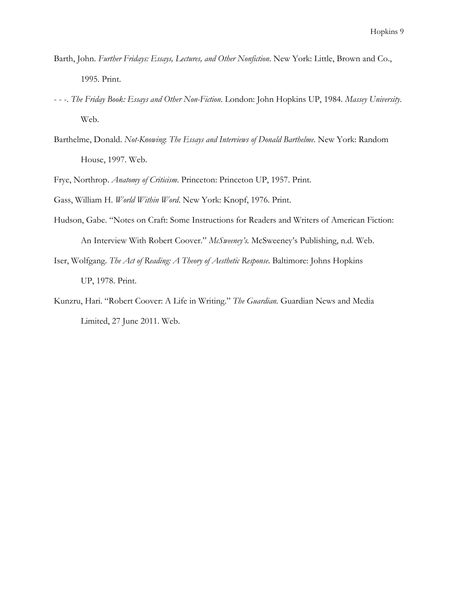- Barth, John. Further Fridays: Essays, Lectures, and Other Nonfiction. New York: Little, Brown and Co., 1995. Print.
- - -. The Friday Book: Essays and Other Non-Fiction. London: John Hopkins UP, 1984. Massey University. Web.
- Barthelme, Donald. Not-Knowing: The Essays and Interviews of Donald Barthelme. New York: Random House, 1997. Web.
- Frye, Northrop. Anatomy of Criticism. Princeton: Princeton UP, 1957. Print.
- Gass, William H. World Within Word. New York: Knopf, 1976. Print.
- Hudson, Gabe. "Notes on Craft: Some Instructions for Readers and Writers of American Fiction: An Interview With Robert Coover." McSweeney's. McSweeney's Publishing, n.d. Web.
- Iser, Wolfgang. The Act of Reading: A Theory of Aesthetic Response. Baltimore: Johns Hopkins UP, 1978. Print.
- Kunzru, Hari. "Robert Coover: A Life in Writing." The Guardian. Guardian News and Media Limited, 27 June 2011. Web.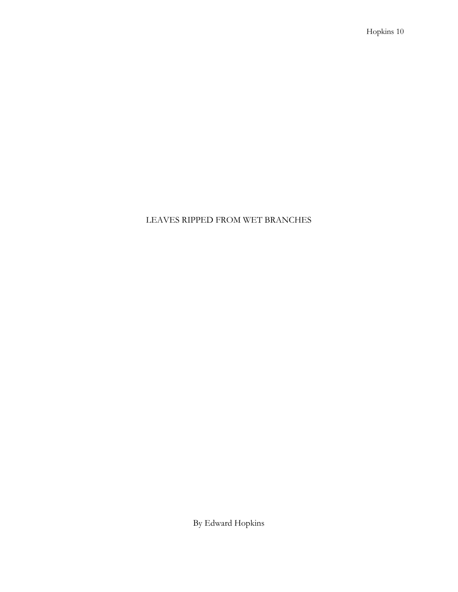## LEAVES RIPPED FROM WET BRANCHES

By Edward Hopkins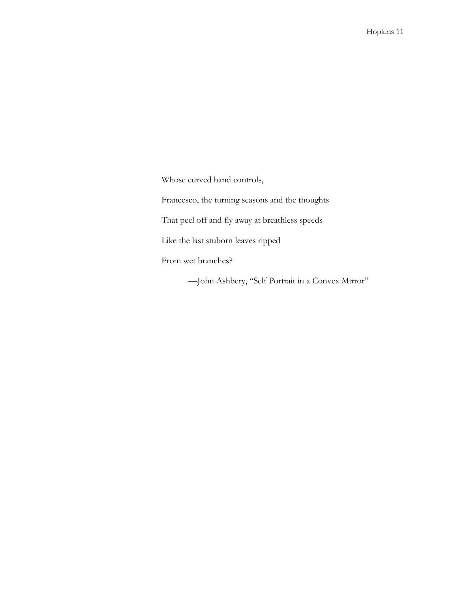Whose curved hand controls,

Francesco, the turning seasons and the thoughts

That peel off and fly away at breathless speeds

Like the last stuborn leaves ripped

From wet branches?

—John Ashbery, "Self Portrait in a Convex Mirror"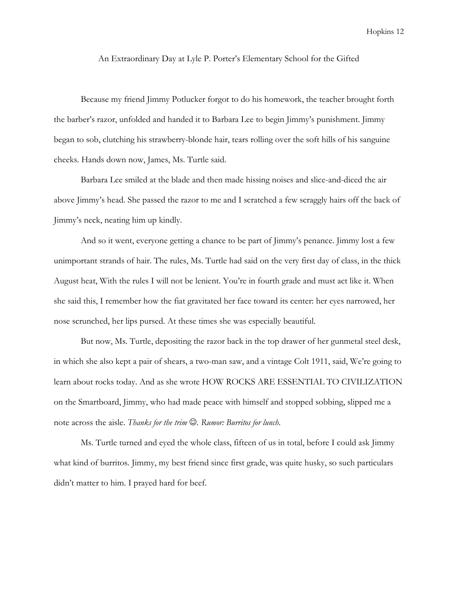An Extraordinary Day at Lyle P. Porter's Elementary School for the Gifted

Because my friend Jimmy Potlucker forgot to do his homework, the teacher brought forth the barber's razor, unfolded and handed it to Barbara Lee to begin Jimmy's punishment. Jimmy began to sob, clutching his strawberry-blonde hair, tears rolling over the soft hills of his sanguine cheeks. Hands down now, James, Ms. Turtle said.

Barbara Lee smiled at the blade and then made hissing noises and slice-and-diced the air above Jimmy's head. She passed the razor to me and I scratched a few scraggly hairs off the back of Jimmy's neck, neating him up kindly.

And so it went, everyone getting a chance to be part of Jimmy's penance. Jimmy lost a few unimportant strands of hair. The rules, Ms. Turtle had said on the very first day of class, in the thick August heat, With the rules I will not be lenient. You're in fourth grade and must act like it. When she said this, I remember how the fiat gravitated her face toward its center: her eyes narrowed, her nose scrunched, her lips pursed. At these times she was especially beautiful.

But now, Ms. Turtle, depositing the razor back in the top drawer of her gunmetal steel desk, in which she also kept a pair of shears, a two-man saw, and a vintage Colt 1911, said, We're going to learn about rocks today. And as she wrote HOW ROCKS ARE ESSENTIAL TO CIVILIZATION on the Smartboard, Jimmy, who had made peace with himself and stopped sobbing, slipped me a note across the aisle. Thanks for the trim  $\mathcal{O}$ . Rumor: Burritos for lunch.

Ms. Turtle turned and eyed the whole class, fifteen of us in total, before I could ask Jimmy what kind of burritos. Jimmy, my best friend since first grade, was quite husky, so such particulars didn't matter to him. I prayed hard for beef.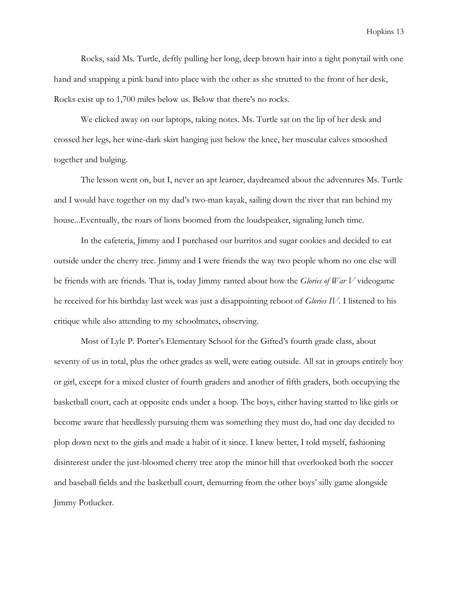Rocks, said Ms. Turtle, deftly pulling her long, deep brown hair into a tight ponytail with one hand and snapping a pink band into place with the other as she strutted to the front of her desk, Rocks exist up to 1,700 miles below us. Below that there's no rocks.

We clicked away on our laptops, taking notes. Ms. Turtle sat on the lip of her desk and crossed her legs, her wine-dark skirt hanging just below the knee, her muscular calves smooshed together and bulging.

The lesson went on, but I, never an apt learner, daydreamed about the adventures Ms. Turtle and I would have together on my dad's two-man kayak, sailing down the river that ran behind my house...Eventually, the roars of lions boomed from the loudspeaker, signaling lunch time.

In the cafeteria, Jimmy and I purchased our burritos and sugar cookies and decided to eat outside under the cherry tree. Jimmy and I were friends the way two people whom no one else will be friends with are friends. That is, today Jimmy ranted about how the *Glories of War V* videogame he received for his birthday last week was just a disappointing reboot of *Glories IV*. I listened to his critique while also attending to my schoolmates, observing.

 Most of Lyle P. Porter's Elementary School for the Gifted's fourth grade class, about seventy of us in total, plus the other grades as well, were eating outside. All sat in groups entirely boy or girl, except for a mixed cluster of fourth graders and another of fifth graders, both occupying the basketball court, each at opposite ends under a hoop. The boys, either having started to like girls or become aware that heedlessly pursuing them was something they must do, had one day decided to plop down next to the girls and made a habit of it since. I knew better, I told myself, fashioning disinterest under the just-bloomed cherry tree atop the minor hill that overlooked both the soccer and baseball fields and the basketball court, demurring from the other boys' silly game alongside Jimmy Potlucker.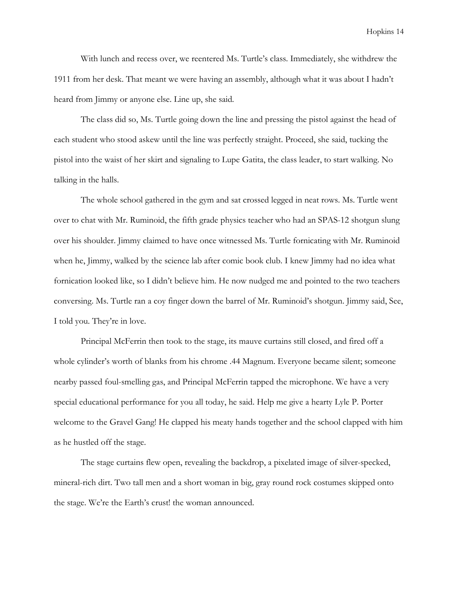With lunch and recess over, we reentered Ms. Turtle's class. Immediately, she withdrew the 1911 from her desk. That meant we were having an assembly, although what it was about I hadn't heard from Jimmy or anyone else. Line up, she said.

 The class did so, Ms. Turtle going down the line and pressing the pistol against the head of each student who stood askew until the line was perfectly straight. Proceed, she said, tucking the pistol into the waist of her skirt and signaling to Lupe Gatita, the class leader, to start walking. No talking in the halls.

 The whole school gathered in the gym and sat crossed legged in neat rows. Ms. Turtle went over to chat with Mr. Ruminoid, the fifth grade physics teacher who had an SPAS-12 shotgun slung over his shoulder. Jimmy claimed to have once witnessed Ms. Turtle fornicating with Mr. Ruminoid when he, Jimmy, walked by the science lab after comic book club. I knew Jimmy had no idea what fornication looked like, so I didn't believe him. He now nudged me and pointed to the two teachers conversing. Ms. Turtle ran a coy finger down the barrel of Mr. Ruminoid's shotgun. Jimmy said, See, I told you. They're in love.

 Principal McFerrin then took to the stage, its mauve curtains still closed, and fired off a whole cylinder's worth of blanks from his chrome .44 Magnum. Everyone became silent; someone nearby passed foul-smelling gas, and Principal McFerrin tapped the microphone. We have a very special educational performance for you all today, he said. Help me give a hearty Lyle P. Porter welcome to the Gravel Gang! He clapped his meaty hands together and the school clapped with him as he hustled off the stage.

 The stage curtains flew open, revealing the backdrop, a pixelated image of silver-specked, mineral-rich dirt. Two tall men and a short woman in big, gray round rock costumes skipped onto the stage. We're the Earth's crust! the woman announced.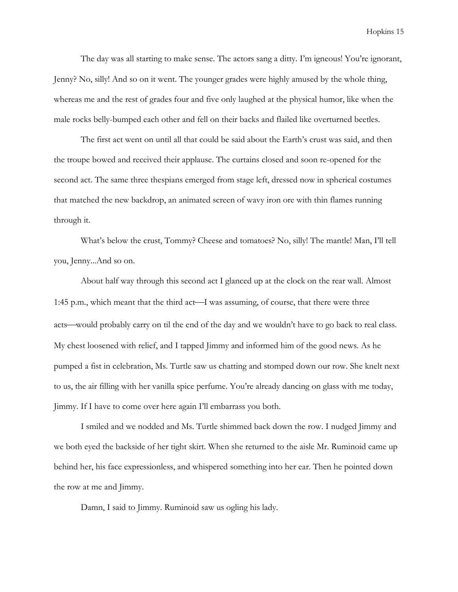The day was all starting to make sense. The actors sang a ditty. I'm igneous! You're ignorant, Jenny? No, silly! And so on it went. The younger grades were highly amused by the whole thing, whereas me and the rest of grades four and five only laughed at the physical humor, like when the male rocks belly-bumped each other and fell on their backs and flailed like overturned beetles.

The first act went on until all that could be said about the Earth's crust was said, and then the troupe bowed and received their applause. The curtains closed and soon re-opened for the second act. The same three thespians emerged from stage left, dressed now in spherical costumes that matched the new backdrop, an animated screen of wavy iron ore with thin flames running through it.

What's below the crust, Tommy? Cheese and tomatoes? No, silly! The mantle! Man, I'll tell you, Jenny...And so on.

About half way through this second act I glanced up at the clock on the rear wall. Almost 1:45 p.m., which meant that the third act—I was assuming, of course, that there were three acts—would probably carry on til the end of the day and we wouldn't have to go back to real class. My chest loosened with relief, and I tapped Jimmy and informed him of the good news. As he pumped a fist in celebration, Ms. Turtle saw us chatting and stomped down our row. She knelt next to us, the air filling with her vanilla spice perfume. You're already dancing on glass with me today, Jimmy. If I have to come over here again I'll embarrass you both.

I smiled and we nodded and Ms. Turtle shimmed back down the row. I nudged Jimmy and we both eyed the backside of her tight skirt. When she returned to the aisle Mr. Ruminoid came up behind her, his face expressionless, and whispered something into her ear. Then he pointed down the row at me and Jimmy.

Damn, I said to Jimmy. Ruminoid saw us ogling his lady.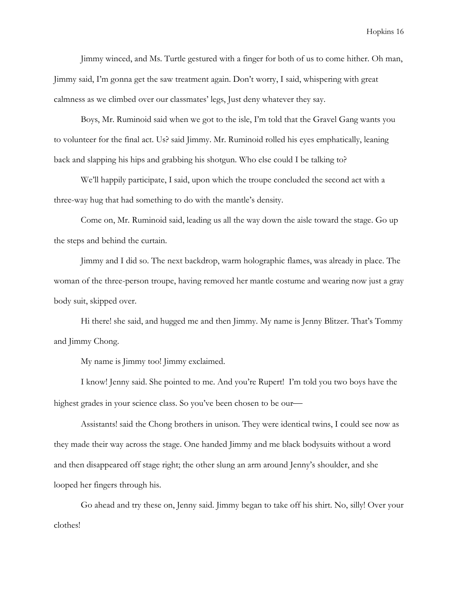Jimmy winced, and Ms. Turtle gestured with a finger for both of us to come hither. Oh man, Jimmy said, I'm gonna get the saw treatment again. Don't worry, I said, whispering with great calmness as we climbed over our classmates' legs, Just deny whatever they say.

Boys, Mr. Ruminoid said when we got to the isle, I'm told that the Gravel Gang wants you to volunteer for the final act. Us? said Jimmy. Mr. Ruminoid rolled his eyes emphatically, leaning back and slapping his hips and grabbing his shotgun. Who else could I be talking to?

We'll happily participate, I said, upon which the troupe concluded the second act with a three-way hug that had something to do with the mantle's density.

Come on, Mr. Ruminoid said, leading us all the way down the aisle toward the stage. Go up the steps and behind the curtain.

Jimmy and I did so. The next backdrop, warm holographic flames, was already in place. The woman of the three-person troupe, having removed her mantle costume and wearing now just a gray body suit, skipped over.

Hi there! she said, and hugged me and then Jimmy. My name is Jenny Blitzer. That's Tommy and Jimmy Chong.

My name is Jimmy too! Jimmy exclaimed.

I know! Jenny said. She pointed to me. And you're Rupert! I'm told you two boys have the highest grades in your science class. So you've been chosen to be our

Assistants! said the Chong brothers in unison. They were identical twins, I could see now as they made their way across the stage. One handed Jimmy and me black bodysuits without a word and then disappeared off stage right; the other slung an arm around Jenny's shoulder, and she looped her fingers through his.

Go ahead and try these on, Jenny said. Jimmy began to take off his shirt. No, silly! Over your clothes!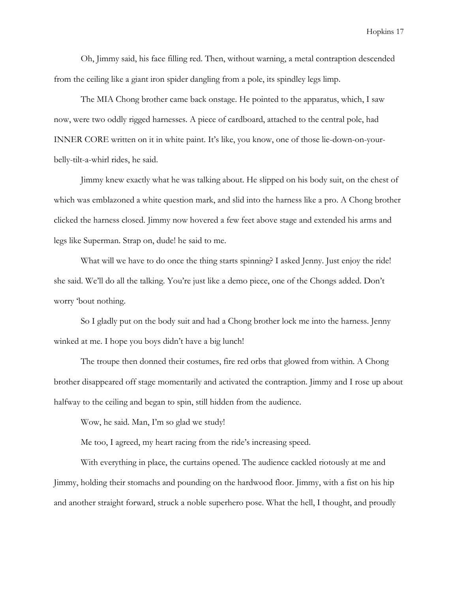Oh, Jimmy said, his face filling red. Then, without warning, a metal contraption descended from the ceiling like a giant iron spider dangling from a pole, its spindley legs limp.

 The MIA Chong brother came back onstage. He pointed to the apparatus, which, I saw now, were two oddly rigged harnesses. A piece of cardboard, attached to the central pole, had INNER CORE written on it in white paint. It's like, you know, one of those lie-down-on-yourbelly-tilt-a-whirl rides, he said.

 Jimmy knew exactly what he was talking about. He slipped on his body suit, on the chest of which was emblazoned a white question mark, and slid into the harness like a pro. A Chong brother clicked the harness closed. Jimmy now hovered a few feet above stage and extended his arms and legs like Superman. Strap on, dude! he said to me.

What will we have to do once the thing starts spinning? I asked Jenny. Just enjoy the ride! she said. We'll do all the talking. You're just like a demo piece, one of the Chongs added. Don't worry 'bout nothing.

 So I gladly put on the body suit and had a Chong brother lock me into the harness. Jenny winked at me. I hope you boys didn't have a big lunch!

 The troupe then donned their costumes, fire red orbs that glowed from within. A Chong brother disappeared off stage momentarily and activated the contraption. Jimmy and I rose up about halfway to the ceiling and began to spin, still hidden from the audience.

Wow, he said. Man, I'm so glad we study!

Me too, I agreed, my heart racing from the ride's increasing speed.

With everything in place, the curtains opened. The audience cackled riotously at me and Jimmy, holding their stomachs and pounding on the hardwood floor. Jimmy, with a fist on his hip and another straight forward, struck a noble superhero pose. What the hell, I thought, and proudly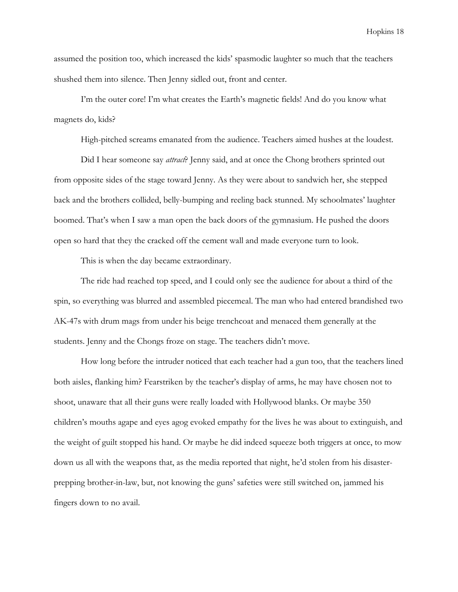assumed the position too, which increased the kids' spasmodic laughter so much that the teachers shushed them into silence. Then Jenny sidled out, front and center.

I'm the outer core! I'm what creates the Earth's magnetic fields! And do you know what magnets do, kids?

High-pitched screams emanated from the audience. Teachers aimed hushes at the loudest.

Did I hear someone say *attract*? Jenny said, and at once the Chong brothers sprinted out from opposite sides of the stage toward Jenny. As they were about to sandwich her, she stepped back and the brothers collided, belly-bumping and reeling back stunned. My schoolmates' laughter boomed. That's when I saw a man open the back doors of the gymnasium. He pushed the doors open so hard that they the cracked off the cement wall and made everyone turn to look.

This is when the day became extraordinary.

The ride had reached top speed, and I could only see the audience for about a third of the spin, so everything was blurred and assembled piecemeal. The man who had entered brandished two AK-47s with drum mags from under his beige trenchcoat and menaced them generally at the students. Jenny and the Chongs froze on stage. The teachers didn't move.

How long before the intruder noticed that each teacher had a gun too, that the teachers lined both aisles, flanking him? Fearstriken by the teacher's display of arms, he may have chosen not to shoot, unaware that all their guns were really loaded with Hollywood blanks. Or maybe 350 children's mouths agape and eyes agog evoked empathy for the lives he was about to extinguish, and the weight of guilt stopped his hand. Or maybe he did indeed squeeze both triggers at once, to mow down us all with the weapons that, as the media reported that night, he'd stolen from his disasterprepping brother-in-law, but, not knowing the guns' safeties were still switched on, jammed his fingers down to no avail.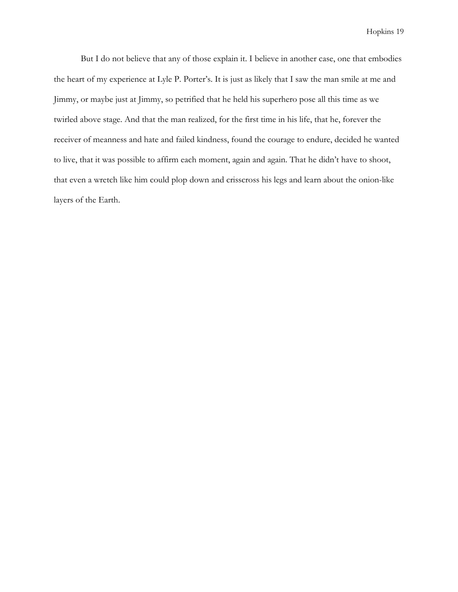But I do not believe that any of those explain it. I believe in another case, one that embodies the heart of my experience at Lyle P. Porter's. It is just as likely that I saw the man smile at me and Jimmy, or maybe just at Jimmy, so petrified that he held his superhero pose all this time as we twirled above stage. And that the man realized, for the first time in his life, that he, forever the receiver of meanness and hate and failed kindness, found the courage to endure, decided he wanted to live, that it was possible to affirm each moment, again and again. That he didn't have to shoot, that even a wretch like him could plop down and crisscross his legs and learn about the onion-like layers of the Earth.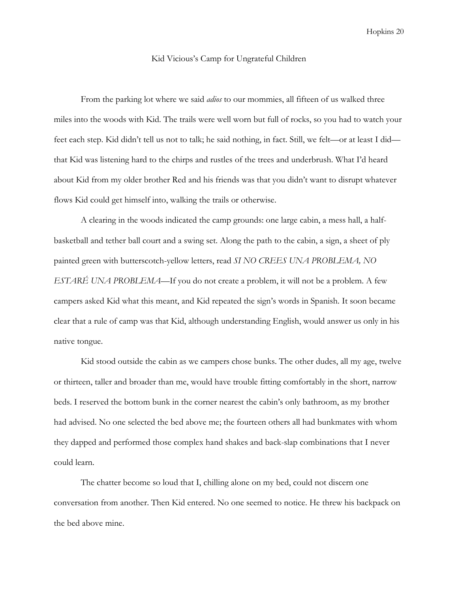#### Kid Vicious's Camp for Ungrateful Children

From the parking lot where we said *adios* to our mommies, all fifteen of us walked three miles into the woods with Kid. The trails were well worn but full of rocks, so you had to watch your feet each step. Kid didn't tell us not to talk; he said nothing, in fact. Still, we felt—or at least I did that Kid was listening hard to the chirps and rustles of the trees and underbrush. What I'd heard about Kid from my older brother Red and his friends was that you didn't want to disrupt whatever flows Kid could get himself into, walking the trails or otherwise.

 A clearing in the woods indicated the camp grounds: one large cabin, a mess hall, a halfbasketball and tether ball court and a swing set. Along the path to the cabin, a sign, a sheet of ply painted green with butterscotch-yellow letters, read SI NO CREES UNA PROBLEMA, NO ESTARÉ UNA PROBLEMA—If you do not create a problem, it will not be a problem. A few campers asked Kid what this meant, and Kid repeated the sign's words in Spanish. It soon became clear that a rule of camp was that Kid, although understanding English, would answer us only in his native tongue.

 Kid stood outside the cabin as we campers chose bunks. The other dudes, all my age, twelve or thirteen, taller and broader than me, would have trouble fitting comfortably in the short, narrow beds. I reserved the bottom bunk in the corner nearest the cabin's only bathroom, as my brother had advised. No one selected the bed above me; the fourteen others all had bunkmates with whom they dapped and performed those complex hand shakes and back-slap combinations that I never could learn.

 The chatter become so loud that I, chilling alone on my bed, could not discern one conversation from another. Then Kid entered. No one seemed to notice. He threw his backpack on the bed above mine.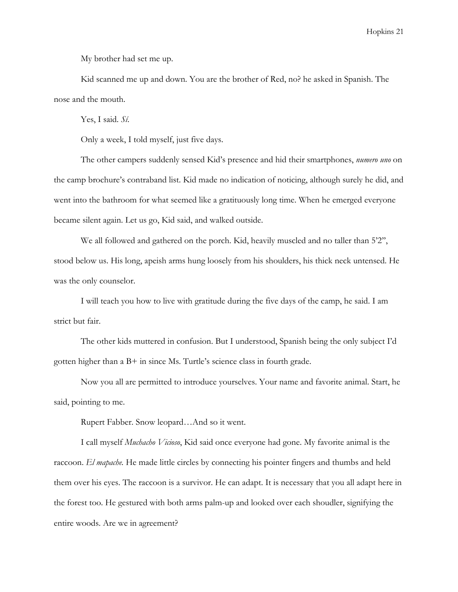My brother had set me up.

 Kid scanned me up and down. You are the brother of Red, no? he asked in Spanish. The nose and the mouth.

Yes, I said. Sí.

Only a week, I told myself, just five days.

The other campers suddenly sensed Kid's presence and hid their smartphones, numero uno on the camp brochure's contraband list. Kid made no indication of noticing, although surely he did, and went into the bathroom for what seemed like a gratituously long time. When he emerged everyone became silent again. Let us go, Kid said, and walked outside.

We all followed and gathered on the porch. Kid, heavily muscled and no taller than 5'2", stood below us. His long, apeish arms hung loosely from his shoulders, his thick neck untensed. He was the only counselor.

 I will teach you how to live with gratitude during the five days of the camp, he said. I am strict but fair.

 The other kids muttered in confusion. But I understood, Spanish being the only subject I'd gotten higher than a B+ in since Ms. Turtle's science class in fourth grade.

 Now you all are permitted to introduce yourselves. Your name and favorite animal. Start, he said, pointing to me.

Rupert Fabber. Snow leopard…And so it went.

 I call myself Muchacho Vicioso, Kid said once everyone had gone. My favorite animal is the raccoon. El mapache. He made little circles by connecting his pointer fingers and thumbs and held them over his eyes. The raccoon is a survivor. He can adapt. It is necessary that you all adapt here in the forest too. He gestured with both arms palm-up and looked over each shoudler, signifying the entire woods. Are we in agreement?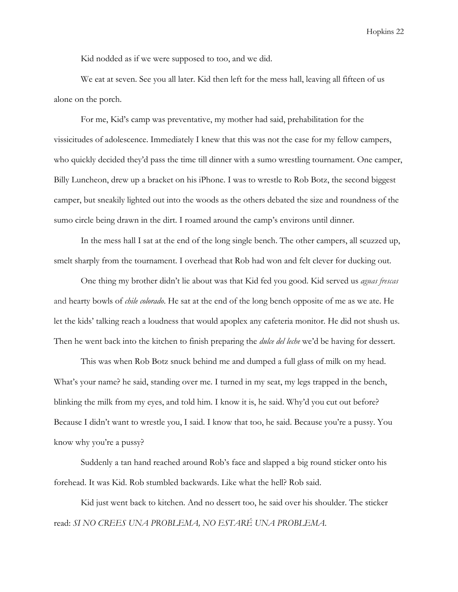Kid nodded as if we were supposed to too, and we did.

 We eat at seven. See you all later. Kid then left for the mess hall, leaving all fifteen of us alone on the porch.

 For me, Kid's camp was preventative, my mother had said, prehabilitation for the vissicitudes of adolescence. Immediately I knew that this was not the case for my fellow campers, who quickly decided they'd pass the time till dinner with a sumo wrestling tournament. One camper, Billy Luncheon, drew up a bracket on his iPhone. I was to wrestle to Rob Botz, the second biggest camper, but sneakily lighted out into the woods as the others debated the size and roundness of the sumo circle being drawn in the dirt. I roamed around the camp's environs until dinner.

 In the mess hall I sat at the end of the long single bench. The other campers, all scuzzed up, smelt sharply from the tournament. I overhead that Rob had won and felt clever for ducking out.

 One thing my brother didn't lie about was that Kid fed you good. Kid served us aguas frescas and hearty bowls of *chile colorado*. He sat at the end of the long bench opposite of me as we ate. He let the kids' talking reach a loudness that would apoplex any cafeteria monitor. He did not shush us. Then he went back into the kitchen to finish preparing the dulce del leche we'd be having for dessert.

 This was when Rob Botz snuck behind me and dumped a full glass of milk on my head. What's your name? he said, standing over me. I turned in my seat, my legs trapped in the bench, blinking the milk from my eyes, and told him. I know it is, he said. Why'd you cut out before? Because I didn't want to wrestle you, I said. I know that too, he said. Because you're a pussy. You know why you're a pussy?

 Suddenly a tan hand reached around Rob's face and slapped a big round sticker onto his forehead. It was Kid. Rob stumbled backwards. Like what the hell? Rob said.

 Kid just went back to kitchen. And no dessert too, he said over his shoulder. The sticker read: SI NO CREES UNA PROBLEMA, NO ESTARÉ UNA PROBLEMA.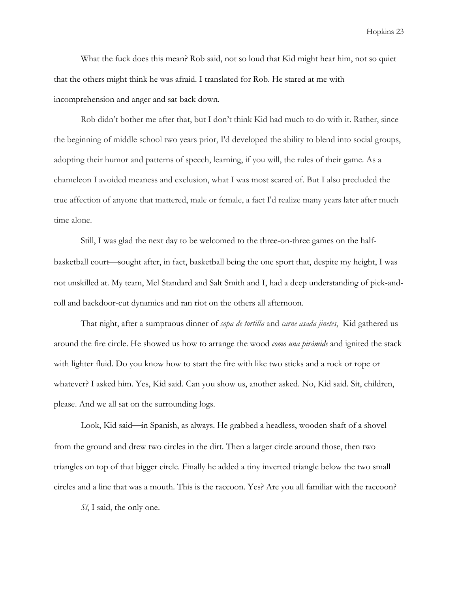What the fuck does this mean? Rob said, not so loud that Kid might hear him, not so quiet that the others might think he was afraid. I translated for Rob. He stared at me with incomprehension and anger and sat back down.

Rob didn't bother me after that, but I don't think Kid had much to do with it. Rather, since the beginning of middle school two years prior, I'd developed the ability to blend into social groups, adopting their humor and patterns of speech, learning, if you will, the rules of their game. As a chameleon I avoided meaness and exclusion, what I was most scared of. But I also precluded the true affection of anyone that mattered, male or female, a fact I'd realize many years later after much time alone.

Still, I was glad the next day to be welcomed to the three-on-three games on the halfbasketball court—sought after, in fact, basketball being the one sport that, despite my height, I was not unskilled at. My team, Mel Standard and Salt Smith and I, had a deep understanding of pick-androll and backdoor-cut dynamics and ran riot on the others all afternoon.

That night, after a sumptuous dinner of sopa de tortilla and carne asada jinetes, Kid gathered us around the fire circle. He showed us how to arrange the wood *como una pirámide* and ignited the stack with lighter fluid. Do you know how to start the fire with like two sticks and a rock or rope or whatever? I asked him. Yes, Kid said. Can you show us, another asked. No, Kid said. Sit, children, please. And we all sat on the surrounding logs.

Look, Kid said—in Spanish, as always. He grabbed a headless, wooden shaft of a shovel from the ground and drew two circles in the dirt. Then a larger circle around those, then two triangles on top of that bigger circle. Finally he added a tiny inverted triangle below the two small circles and a line that was a mouth. This is the raccoon. Yes? Are you all familiar with the raccoon?

Si, I said, the only one.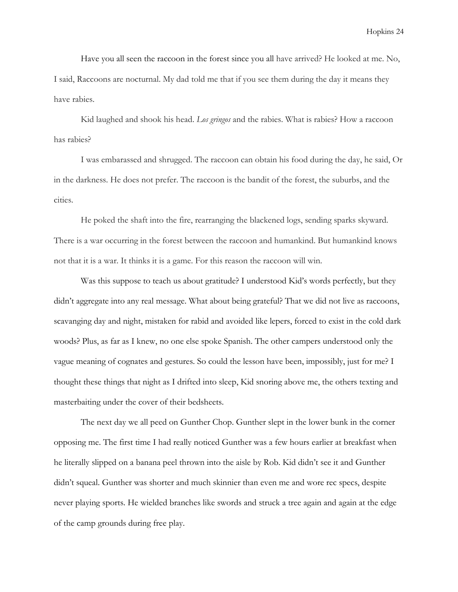Have you all seen the raccoon in the forest since you all have arrived? He looked at me. No, I said, Raccoons are nocturnal. My dad told me that if you see them during the day it means they have rabies.

Kid laughed and shook his head. Los gringos and the rabies. What is rabies? How a raccoon has rabies?

 I was embarassed and shrugged. The raccoon can obtain his food during the day, he said, Or in the darkness. He does not prefer. The raccoon is the bandit of the forest, the suburbs, and the cities.

He poked the shaft into the fire, rearranging the blackened logs, sending sparks skyward. There is a war occurring in the forest between the raccoon and humankind. But humankind knows not that it is a war. It thinks it is a game. For this reason the raccoon will win.

Was this suppose to teach us about gratitude? I understood Kid's words perfectly, but they didn't aggregate into any real message. What about being grateful? That we did not live as raccoons, scavanging day and night, mistaken for rabid and avoided like lepers, forced to exist in the cold dark woods? Plus, as far as I knew, no one else spoke Spanish. The other campers understood only the vague meaning of cognates and gestures. So could the lesson have been, impossibly, just for me? I thought these things that night as I drifted into sleep, Kid snoring above me, the others texting and masterbaiting under the cover of their bedsheets.

 The next day we all peed on Gunther Chop. Gunther slept in the lower bunk in the corner opposing me. The first time I had really noticed Gunther was a few hours earlier at breakfast when he literally slipped on a banana peel thrown into the aisle by Rob. Kid didn't see it and Gunther didn't squeal. Gunther was shorter and much skinnier than even me and wore rec specs, despite never playing sports. He wielded branches like swords and struck a tree again and again at the edge of the camp grounds during free play.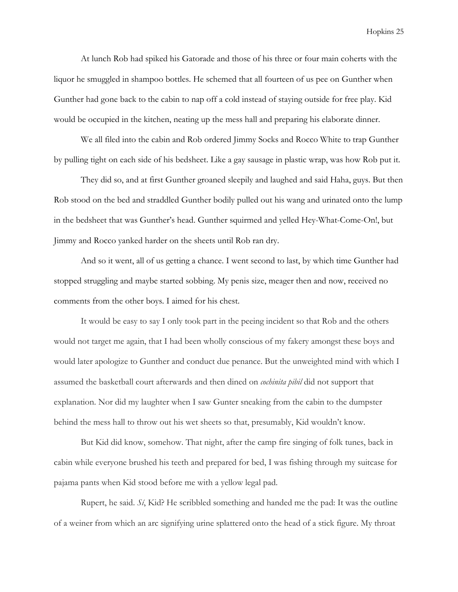At lunch Rob had spiked his Gatorade and those of his three or four main coherts with the liquor he smuggled in shampoo bottles. He schemed that all fourteen of us pee on Gunther when Gunther had gone back to the cabin to nap off a cold instead of staying outside for free play. Kid would be occupied in the kitchen, neating up the mess hall and preparing his elaborate dinner.

 We all filed into the cabin and Rob ordered Jimmy Socks and Rocco White to trap Gunther by pulling tight on each side of his bedsheet. Like a gay sausage in plastic wrap, was how Rob put it.

 They did so, and at first Gunther groaned sleepily and laughed and said Haha, guys. But then Rob stood on the bed and straddled Gunther bodily pulled out his wang and urinated onto the lump in the bedsheet that was Gunther's head. Gunther squirmed and yelled Hey-What-Come-On!, but Jimmy and Rocco yanked harder on the sheets until Rob ran dry.

 And so it went, all of us getting a chance. I went second to last, by which time Gunther had stopped struggling and maybe started sobbing. My penis size, meager then and now, received no comments from the other boys. I aimed for his chest.

It would be easy to say I only took part in the peeing incident so that Rob and the others would not target me again, that I had been wholly conscious of my fakery amongst these boys and would later apologize to Gunther and conduct due penance. But the unweighted mind with which I assumed the basketball court afterwards and then dined on cochinita pibil did not support that explanation. Nor did my laughter when I saw Gunter sneaking from the cabin to the dumpster behind the mess hall to throw out his wet sheets so that, presumably, Kid wouldn't know.

 But Kid did know, somehow. That night, after the camp fire singing of folk tunes, back in cabin while everyone brushed his teeth and prepared for bed, I was fishing through my suitcase for pajama pants when Kid stood before me with a yellow legal pad.

Rupert, he said.  $S_i$ , Kid? He scribbled something and handed me the pad: It was the outline of a weiner from which an arc signifying urine splattered onto the head of a stick figure. My throat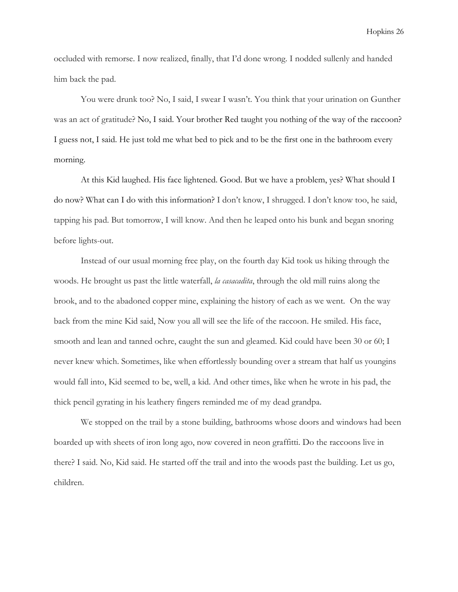occluded with remorse. I now realized, finally, that I'd done wrong. I nodded sullenly and handed him back the pad.

 You were drunk too? No, I said, I swear I wasn't. You think that your urination on Gunther was an act of gratitude? No, I said. Your brother Red taught you nothing of the way of the raccoon? I guess not, I said. He just told me what bed to pick and to be the first one in the bathroom every morning.

 At this Kid laughed. His face lightened. Good. But we have a problem, yes? What should I do now? What can I do with this information? I don't know, I shrugged. I don't know too, he said, tapping his pad. But tomorrow, I will know. And then he leaped onto his bunk and began snoring before lights-out.

 Instead of our usual morning free play, on the fourth day Kid took us hiking through the woods. He brought us past the little waterfall, *la casacadita*, through the old mill ruins along the brook, and to the abadoned copper mine, explaining the history of each as we went. On the way back from the mine Kid said, Now you all will see the life of the raccoon. He smiled. His face, smooth and lean and tanned ochre, caught the sun and gleamed. Kid could have been 30 or 60; I never knew which. Sometimes, like when effortlessly bounding over a stream that half us youngins would fall into, Kid seemed to be, well, a kid. And other times, like when he wrote in his pad, the thick pencil gyrating in his leathery fingers reminded me of my dead grandpa.

 We stopped on the trail by a stone building, bathrooms whose doors and windows had been boarded up with sheets of iron long ago, now covered in neon graffitti. Do the raccoons live in there? I said. No, Kid said. He started off the trail and into the woods past the building. Let us go, children.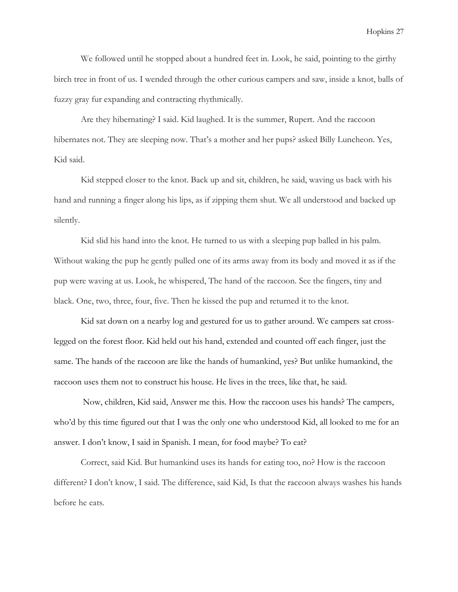We followed until he stopped about a hundred feet in. Look, he said, pointing to the girthy birch tree in front of us. I wended through the other curious campers and saw, inside a knot, balls of fuzzy gray fur expanding and contracting rhythmically.

 Are they hibernating? I said. Kid laughed. It is the summer, Rupert. And the raccoon hibernates not. They are sleeping now. That's a mother and her pups? asked Billy Luncheon. Yes, Kid said.

 Kid stepped closer to the knot. Back up and sit, children, he said, waving us back with his hand and running a finger along his lips, as if zipping them shut. We all understood and backed up silently.

Kid slid his hand into the knot. He turned to us with a sleeping pup balled in his palm. Without waking the pup he gently pulled one of its arms away from its body and moved it as if the pup were waving at us. Look, he whispered, The hand of the raccoon. See the fingers, tiny and black. One, two, three, four, five. Then he kissed the pup and returned it to the knot.

Kid sat down on a nearby log and gestured for us to gather around. We campers sat crosslegged on the forest floor. Kid held out his hand, extended and counted off each finger, just the same. The hands of the raccoon are like the hands of humankind, yes? But unlike humankind, the raccoon uses them not to construct his house. He lives in the trees, like that, he said.

 Now, children, Kid said, Answer me this. How the raccoon uses his hands? The campers, who'd by this time figured out that I was the only one who understood Kid, all looked to me for an answer. I don't know, I said in Spanish. I mean, for food maybe? To eat?

Correct, said Kid. But humankind uses its hands for eating too, no? How is the raccoon different? I don't know, I said. The difference, said Kid, Is that the raccoon always washes his hands before he eats.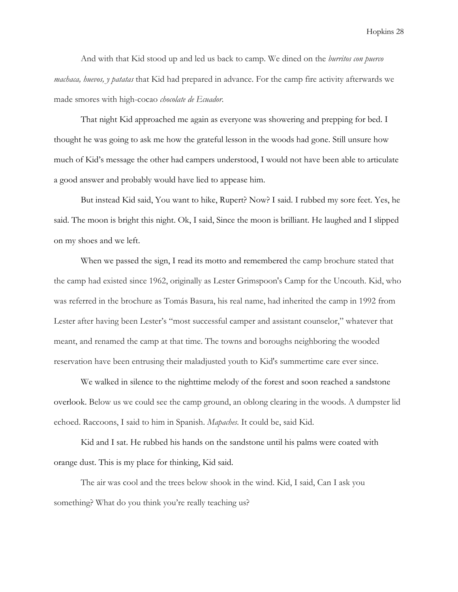And with that Kid stood up and led us back to camp. We dined on the *burritos con puerco machaca, huevos, y patatas* that Kid had prepared in advance. For the camp fire activity afterwards we made smores with high-cocao chocolate de Ecuador.

That night Kid approached me again as everyone was showering and prepping for bed. I thought he was going to ask me how the grateful lesson in the woods had gone. Still unsure how much of Kid's message the other had campers understood, I would not have been able to articulate a good answer and probably would have lied to appease him.

 But instead Kid said, You want to hike, Rupert? Now? I said. I rubbed my sore feet. Yes, he said. The moon is bright this night. Ok, I said, Since the moon is brilliant. He laughed and I slipped on my shoes and we left.

 When we passed the sign, I read its motto and remembered the camp brochure stated that the camp had existed since 1962, originally as Lester Grimspoon's Camp for the Uncouth. Kid, who was referred in the brochure as Tomás Basura, his real name, had inherited the camp in 1992 from Lester after having been Lester's "most successful camper and assistant counselor," whatever that meant, and renamed the camp at that time. The towns and boroughs neighboring the wooded reservation have been entrusing their maladjusted youth to Kid's summertime care ever since.

We walked in silence to the nighttime melody of the forest and soon reached a sandstone overlook. Below us we could see the camp ground, an oblong clearing in the woods. A dumpster lid echoed. Raccoons, I said to him in Spanish. Mapaches. It could be, said Kid.

Kid and I sat. He rubbed his hands on the sandstone until his palms were coated with orange dust. This is my place for thinking, Kid said.

The air was cool and the trees below shook in the wind. Kid, I said, Can I ask you something? What do you think you're really teaching us?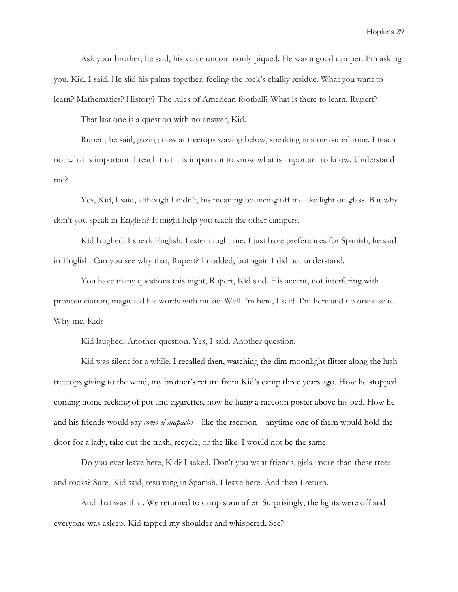Ask your brother, he said, his voice uncommonly piqued. He was a good camper. I'm asking you, Kid, I said. He slid his palms together, feeling the rock's chalky residue. What you want to learn? Mathematics? History? The rules of American football? What is there to learn, Rupert?

That last one is a question with no answer, Kid.

 Rupert, he said, gazing now at treetops waving below, speaking in a measured tone. I teach not what is important. I teach that it is important to know what is important to know. Understand me?

 Yes, Kid, I said, although I didn't, his meaning bouncing off me like light on glass. But why don't you speak in English? It might help you teach the other campers.

Kid laughed. I speak English. Lester taught me. I just have preferences for Spanish, he said in English. Can you see why that, Rupert? I nodded, but again I did not understand.

 You have many questions this night, Rupert, Kid said. His accent, not interfering with pronounciation, magicked his words with music. Well I'm here, I said. I'm here and no one else is. Why me, Kid?

Kid laughed. Another question. Yes, I said. Another question.

 Kid was silent for a while. I recalled then, watching the dim moonlight flitter along the lush treetops giving to the wind, my brother's return from Kid's camp three years ago. How he stopped coming home reeking of pot and cigarettes, how he hung a raccoon poster above his bed. How he and his friends would say como el mapache—like the raccoon—anytime one of them would hold the door for a lady, take out the trash, recycle, or the like. I would not be the same.

Do you ever leave here, Kid? I asked. Don't you want friends, girls, more than these trees and rocks? Sure, Kid said, resuming in Spanish. I leave here. And then I return.

 And that was that. We returned to camp soon after. Surprisingly, the lights were off and everyone was asleep. Kid tapped my shoulder and whispered, See?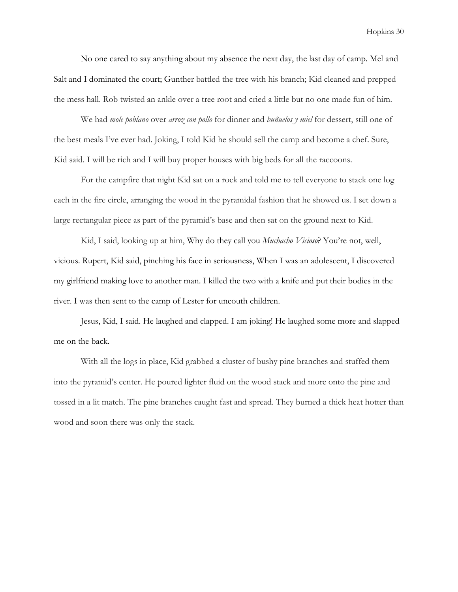No one cared to say anything about my absence the next day, the last day of camp. Mel and Salt and I dominated the court; Gunther battled the tree with his branch; Kid cleaned and prepped the mess hall. Rob twisted an ankle over a tree root and cried a little but no one made fun of him.

We had mole poblano over arroz con pollo for dinner and buñuelos y miel for dessert, still one of the best meals I've ever had. Joking, I told Kid he should sell the camp and become a chef. Sure, Kid said. I will be rich and I will buy proper houses with big beds for all the raccoons.

 For the campfire that night Kid sat on a rock and told me to tell everyone to stack one log each in the fire circle, arranging the wood in the pyramidal fashion that he showed us. I set down a large rectangular piece as part of the pyramid's base and then sat on the ground next to Kid.

Kid, I said, looking up at him, Why do they call you *Muchacho Vicioso*? You're not, well, vicious. Rupert, Kid said, pinching his face in seriousness, When I was an adolescent, I discovered my girlfriend making love to another man. I killed the two with a knife and put their bodies in the river. I was then sent to the camp of Lester for uncouth children.

 Jesus, Kid, I said. He laughed and clapped. I am joking! He laughed some more and slapped me on the back.

With all the logs in place, Kid grabbed a cluster of bushy pine branches and stuffed them into the pyramid's center. He poured lighter fluid on the wood stack and more onto the pine and tossed in a lit match. The pine branches caught fast and spread. They burned a thick heat hotter than wood and soon there was only the stack.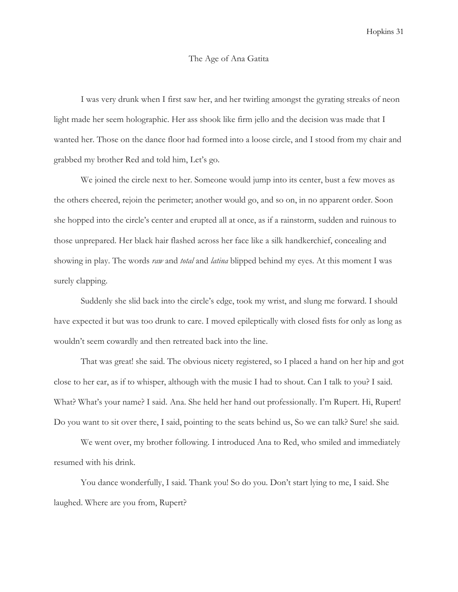#### The Age of Ana Gatita

 I was very drunk when I first saw her, and her twirling amongst the gyrating streaks of neon light made her seem holographic. Her ass shook like firm jello and the decision was made that I wanted her. Those on the dance floor had formed into a loose circle, and I stood from my chair and grabbed my brother Red and told him, Let's go.

 We joined the circle next to her. Someone would jump into its center, bust a few moves as the others cheered, rejoin the perimeter; another would go, and so on, in no apparent order. Soon she hopped into the circle's center and erupted all at once, as if a rainstorm, sudden and ruinous to those unprepared. Her black hair flashed across her face like a silk handkerchief, concealing and showing in play. The words *raw* and *total* and *latina* blipped behind my eyes. At this moment I was surely clapping.

 Suddenly she slid back into the circle's edge, took my wrist, and slung me forward. I should have expected it but was too drunk to care. I moved epileptically with closed fists for only as long as wouldn't seem cowardly and then retreated back into the line.

 That was great! she said. The obvious nicety registered, so I placed a hand on her hip and got close to her ear, as if to whisper, although with the music I had to shout. Can I talk to you? I said. What? What's your name? I said. Ana. She held her hand out professionally. I'm Rupert. Hi, Rupert! Do you want to sit over there, I said, pointing to the seats behind us, So we can talk? Sure! she said.

 We went over, my brother following. I introduced Ana to Red, who smiled and immediately resumed with his drink.

 You dance wonderfully, I said. Thank you! So do you. Don't start lying to me, I said. She laughed. Where are you from, Rupert?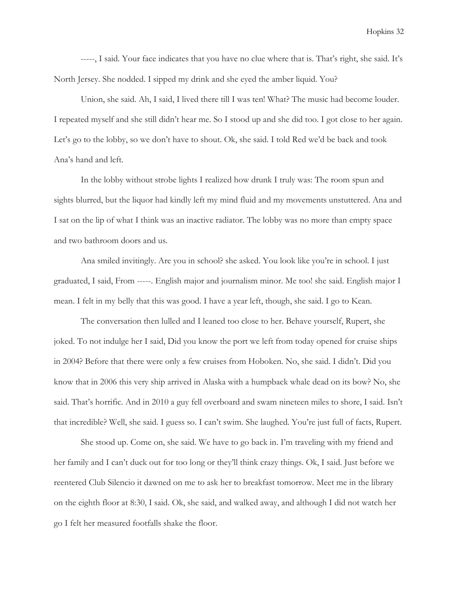-----, I said. Your face indicates that you have no clue where that is. That's right, she said. It's North Jersey. She nodded. I sipped my drink and she eyed the amber liquid. You?

 Union, she said. Ah, I said, I lived there till I was ten! What? The music had become louder. I repeated myself and she still didn't hear me. So I stood up and she did too. I got close to her again. Let's go to the lobby, so we don't have to shout. Ok, she said. I told Red we'd be back and took Ana's hand and left.

 In the lobby without strobe lights I realized how drunk I truly was: The room spun and sights blurred, but the liquor had kindly left my mind fluid and my movements unstuttered. Ana and I sat on the lip of what I think was an inactive radiator. The lobby was no more than empty space and two bathroom doors and us.

 Ana smiled invitingly. Are you in school? she asked. You look like you're in school. I just graduated, I said, From -----. English major and journalism minor. Me too! she said. English major I mean. I felt in my belly that this was good. I have a year left, though, she said. I go to Kean.

 The conversation then lulled and I leaned too close to her. Behave yourself, Rupert, she joked. To not indulge her I said, Did you know the port we left from today opened for cruise ships in 2004? Before that there were only a few cruises from Hoboken. No, she said. I didn't. Did you know that in 2006 this very ship arrived in Alaska with a humpback whale dead on its bow? No, she said. That's horrific. And in 2010 a guy fell overboard and swam nineteen miles to shore, I said. Isn't that incredible? Well, she said. I guess so. I can't swim. She laughed. You're just full of facts, Rupert.

 She stood up. Come on, she said. We have to go back in. I'm traveling with my friend and her family and I can't duck out for too long or they'll think crazy things. Ok, I said. Just before we reentered Club Silencio it dawned on me to ask her to breakfast tomorrow. Meet me in the library on the eighth floor at 8:30, I said. Ok, she said, and walked away, and although I did not watch her go I felt her measured footfalls shake the floor.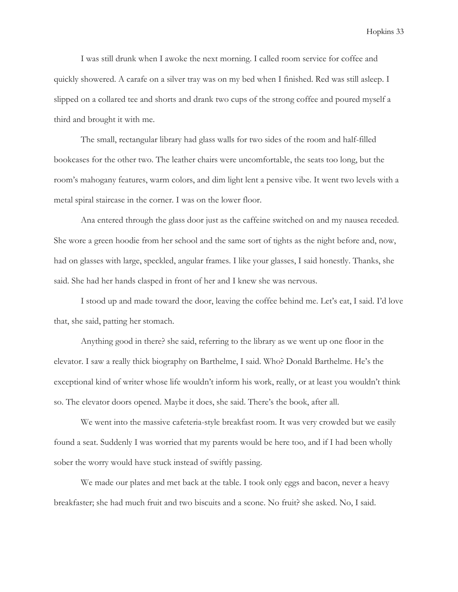I was still drunk when I awoke the next morning. I called room service for coffee and quickly showered. A carafe on a silver tray was on my bed when I finished. Red was still asleep. I slipped on a collared tee and shorts and drank two cups of the strong coffee and poured myself a third and brought it with me.

 The small, rectangular library had glass walls for two sides of the room and half-filled bookcases for the other two. The leather chairs were uncomfortable, the seats too long, but the room's mahogany features, warm colors, and dim light lent a pensive vibe. It went two levels with a metal spiral staircase in the corner. I was on the lower floor.

 Ana entered through the glass door just as the caffeine switched on and my nausea receded. She wore a green hoodie from her school and the same sort of tights as the night before and, now, had on glasses with large, speckled, angular frames. I like your glasses, I said honestly. Thanks, she said. She had her hands clasped in front of her and I knew she was nervous.

 I stood up and made toward the door, leaving the coffee behind me. Let's eat, I said. I'd love that, she said, patting her stomach.

 Anything good in there? she said, referring to the library as we went up one floor in the elevator. I saw a really thick biography on Barthelme, I said. Who? Donald Barthelme. He's the exceptional kind of writer whose life wouldn't inform his work, really, or at least you wouldn't think so. The elevator doors opened. Maybe it does, she said. There's the book, after all.

 We went into the massive cafeteria-style breakfast room. It was very crowded but we easily found a seat. Suddenly I was worried that my parents would be here too, and if I had been wholly sober the worry would have stuck instead of swiftly passing.

 We made our plates and met back at the table. I took only eggs and bacon, never a heavy breakfaster; she had much fruit and two biscuits and a scone. No fruit? she asked. No, I said.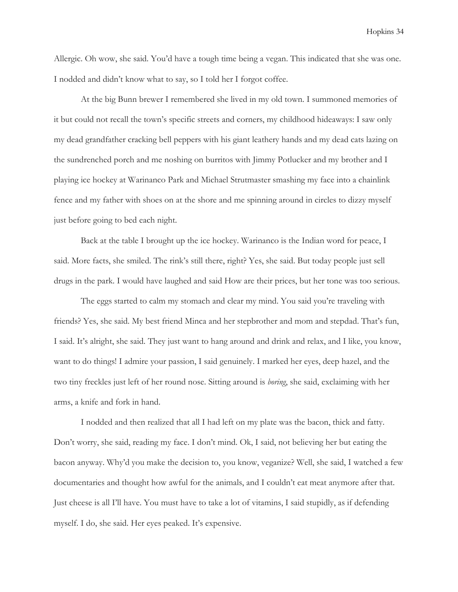Allergic. Oh wow, she said. You'd have a tough time being a vegan. This indicated that she was one. I nodded and didn't know what to say, so I told her I forgot coffee.

 At the big Bunn brewer I remembered she lived in my old town. I summoned memories of it but could not recall the town's specific streets and corners, my childhood hideaways: I saw only my dead grandfather cracking bell peppers with his giant leathery hands and my dead cats lazing on the sundrenched porch and me noshing on burritos with Jimmy Potlucker and my brother and I playing ice hockey at Warinanco Park and Michael Strutmaster smashing my face into a chainlink fence and my father with shoes on at the shore and me spinning around in circles to dizzy myself just before going to bed each night.

 Back at the table I brought up the ice hockey. Warinanco is the Indian word for peace, I said. More facts, she smiled. The rink's still there, right? Yes, she said. But today people just sell drugs in the park. I would have laughed and said How are their prices, but her tone was too serious.

 The eggs started to calm my stomach and clear my mind. You said you're traveling with friends? Yes, she said. My best friend Minca and her stepbrother and mom and stepdad. That's fun, I said. It's alright, she said. They just want to hang around and drink and relax, and I like, you know, want to do things! I admire your passion, I said genuinely. I marked her eyes, deep hazel, and the two tiny freckles just left of her round nose. Sitting around is boring, she said, exclaiming with her arms, a knife and fork in hand.

 I nodded and then realized that all I had left on my plate was the bacon, thick and fatty. Don't worry, she said, reading my face. I don't mind. Ok, I said, not believing her but eating the bacon anyway. Why'd you make the decision to, you know, veganize? Well, she said, I watched a few documentaries and thought how awful for the animals, and I couldn't eat meat anymore after that. Just cheese is all I'll have. You must have to take a lot of vitamins, I said stupidly, as if defending myself. I do, she said. Her eyes peaked. It's expensive.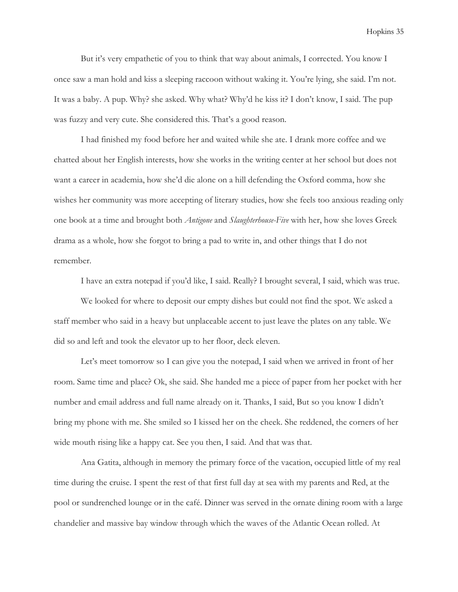But it's very empathetic of you to think that way about animals, I corrected. You know I once saw a man hold and kiss a sleeping raccoon without waking it. You're lying, she said. I'm not. It was a baby. A pup. Why? she asked. Why what? Why'd he kiss it? I don't know, I said. The pup was fuzzy and very cute. She considered this. That's a good reason.

 I had finished my food before her and waited while she ate. I drank more coffee and we chatted about her English interests, how she works in the writing center at her school but does not want a career in academia, how she'd die alone on a hill defending the Oxford comma, how she wishes her community was more accepting of literary studies, how she feels too anxious reading only one book at a time and brought both Antigone and Slaughterhouse-Five with her, how she loves Greek drama as a whole, how she forgot to bring a pad to write in, and other things that I do not remember.

I have an extra notepad if you'd like, I said. Really? I brought several, I said, which was true.

 We looked for where to deposit our empty dishes but could not find the spot. We asked a staff member who said in a heavy but unplaceable accent to just leave the plates on any table. We did so and left and took the elevator up to her floor, deck eleven.

 Let's meet tomorrow so I can give you the notepad, I said when we arrived in front of her room. Same time and place? Ok, she said. She handed me a piece of paper from her pocket with her number and email address and full name already on it. Thanks, I said, But so you know I didn't bring my phone with me. She smiled so I kissed her on the cheek. She reddened, the corners of her wide mouth rising like a happy cat. See you then, I said. And that was that.

 Ana Gatita, although in memory the primary force of the vacation, occupied little of my real time during the cruise. I spent the rest of that first full day at sea with my parents and Red, at the pool or sundrenched lounge or in the café. Dinner was served in the ornate dining room with a large chandelier and massive bay window through which the waves of the Atlantic Ocean rolled. At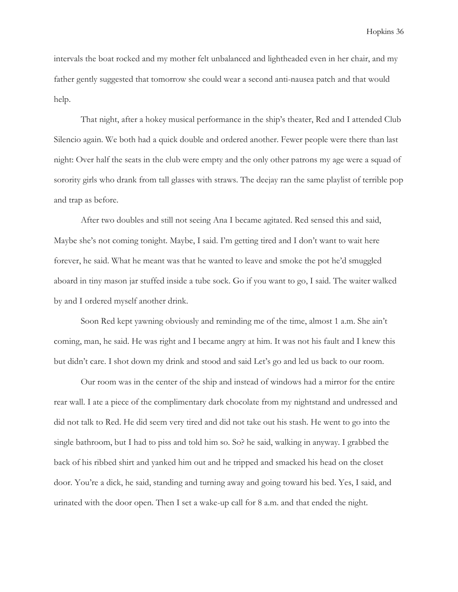intervals the boat rocked and my mother felt unbalanced and lightheaded even in her chair, and my father gently suggested that tomorrow she could wear a second anti-nausea patch and that would help.

 That night, after a hokey musical performance in the ship's theater, Red and I attended Club Silencio again. We both had a quick double and ordered another. Fewer people were there than last night: Over half the seats in the club were empty and the only other patrons my age were a squad of sorority girls who drank from tall glasses with straws. The deejay ran the same playlist of terrible pop and trap as before.

 After two doubles and still not seeing Ana I became agitated. Red sensed this and said, Maybe she's not coming tonight. Maybe, I said. I'm getting tired and I don't want to wait here forever, he said. What he meant was that he wanted to leave and smoke the pot he'd smuggled aboard in tiny mason jar stuffed inside a tube sock. Go if you want to go, I said. The waiter walked by and I ordered myself another drink.

 Soon Red kept yawning obviously and reminding me of the time, almost 1 a.m. She ain't coming, man, he said. He was right and I became angry at him. It was not his fault and I knew this but didn't care. I shot down my drink and stood and said Let's go and led us back to our room.

 Our room was in the center of the ship and instead of windows had a mirror for the entire rear wall. I ate a piece of the complimentary dark chocolate from my nightstand and undressed and did not talk to Red. He did seem very tired and did not take out his stash. He went to go into the single bathroom, but I had to piss and told him so. So? he said, walking in anyway. I grabbed the back of his ribbed shirt and yanked him out and he tripped and smacked his head on the closet door. You're a dick, he said, standing and turning away and going toward his bed. Yes, I said, and urinated with the door open. Then I set a wake-up call for 8 a.m. and that ended the night.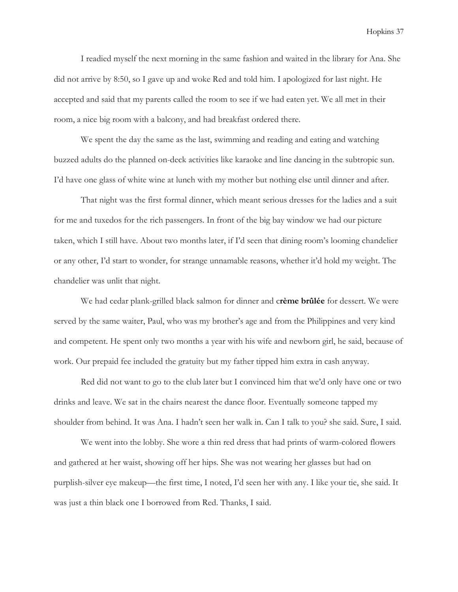I readied myself the next morning in the same fashion and waited in the library for Ana. She did not arrive by 8:50, so I gave up and woke Red and told him. I apologized for last night. He accepted and said that my parents called the room to see if we had eaten yet. We all met in their room, a nice big room with a balcony, and had breakfast ordered there.

 We spent the day the same as the last, swimming and reading and eating and watching buzzed adults do the planned on-deck activities like karaoke and line dancing in the subtropic sun. I'd have one glass of white wine at lunch with my mother but nothing else until dinner and after.

 That night was the first formal dinner, which meant serious dresses for the ladies and a suit for me and tuxedos for the rich passengers. In front of the big bay window we had our picture taken, which I still have. About two months later, if I'd seen that dining room's looming chandelier or any other, I'd start to wonder, for strange unnamable reasons, whether it'd hold my weight. The chandelier was unlit that night.

We had cedar plank-grilled black salmon for dinner and crème brûlée for dessert. We were served by the same waiter, Paul, who was my brother's age and from the Philippines and very kind and competent. He spent only two months a year with his wife and newborn girl, he said, because of work. Our prepaid fee included the gratuity but my father tipped him extra in cash anyway.

 Red did not want to go to the club later but I convinced him that we'd only have one or two drinks and leave. We sat in the chairs nearest the dance floor. Eventually someone tapped my shoulder from behind. It was Ana. I hadn't seen her walk in. Can I talk to you? she said. Sure, I said.

 We went into the lobby. She wore a thin red dress that had prints of warm-colored flowers and gathered at her waist, showing off her hips. She was not wearing her glasses but had on purplish-silver eye makeup—the first time, I noted, I'd seen her with any. I like your tie, she said. It was just a thin black one I borrowed from Red. Thanks, I said.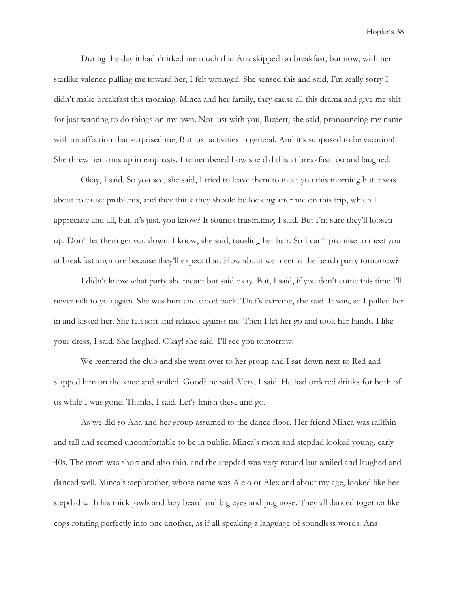During the day it hadn't irked me much that Ana skipped on breakfast, but now, with her starlike valence pulling me toward her, I felt wronged. She sensed this and said, I'm really sorry I didn't make breakfast this morning. Minca and her family, they cause all this drama and give me shit for just wanting to do things on my own. Not just with you, Rupert, she said, pronouncing my name with an affection that surprised me, But just activities in general. And it's supposed to be vacation! She threw her arms up in emphasis. I remembered how she did this at breakfast too and laughed.

 Okay, I said. So you see, she said, I tried to leave them to meet you this morning but it was about to cause problems, and they think they should be looking after me on this trip, which I appreciate and all, but, it's just, you know? It sounds frustrating, I said. But I'm sure they'll loosen up. Don't let them get you down. I know, she said, tousling her hair. So I can't promise to meet you at breakfast anymore because they'll expect that. How about we meet at the beach party tomorrow?

 I didn't know what party she meant but said okay. But, I said, if you don't come this time I'll never talk to you again. She was hurt and stood back. That's extreme, she said. It was, so I pulled her in and kissed her. She felt soft and relaxed against me. Then I let her go and took her hands. I like your dress, I said. She laughed. Okay! she said. I'll see you tomorrow.

 We reentered the club and she went over to her group and I sat down next to Red and slapped him on the knee and smiled. Good? he said. Very, I said. He had ordered drinks for both of us while I was gone. Thanks, I said. Let's finish these and go.

 As we did so Ana and her group assumed to the dance floor. Her friend Minca was railthin and tall and seemed uncomfortable to be in public. Minca's mom and stepdad looked young, early 40s. The mom was short and also thin, and the stepdad was very rotund but smiled and laughed and danced well. Minca's stepbrother, whose name was Alejo or Alex and about my age, looked like her stepdad with his thick jowls and lazy beard and big eyes and pug nose. They all danced together like cogs rotating perfectly into one another, as if all speaking a language of soundless words. Ana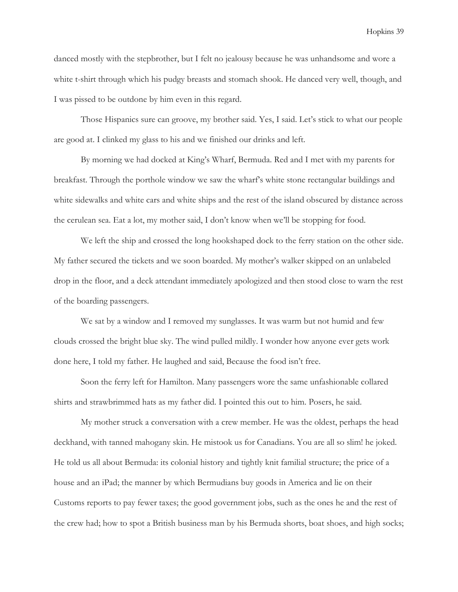danced mostly with the stepbrother, but I felt no jealousy because he was unhandsome and wore a white t-shirt through which his pudgy breasts and stomach shook. He danced very well, though, and I was pissed to be outdone by him even in this regard.

 Those Hispanics sure can groove, my brother said. Yes, I said. Let's stick to what our people are good at. I clinked my glass to his and we finished our drinks and left.

 By morning we had docked at King's Wharf, Bermuda. Red and I met with my parents for breakfast. Through the porthole window we saw the wharf's white stone rectangular buildings and white sidewalks and white cars and white ships and the rest of the island obscured by distance across the cerulean sea. Eat a lot, my mother said, I don't know when we'll be stopping for food.

We left the ship and crossed the long hookshaped dock to the ferry station on the other side. My father secured the tickets and we soon boarded. My mother's walker skipped on an unlabeled drop in the floor, and a deck attendant immediately apologized and then stood close to warn the rest of the boarding passengers.

We sat by a window and I removed my sunglasses. It was warm but not humid and few clouds crossed the bright blue sky. The wind pulled mildly. I wonder how anyone ever gets work done here, I told my father. He laughed and said, Because the food isn't free.

 Soon the ferry left for Hamilton. Many passengers wore the same unfashionable collared shirts and strawbrimmed hats as my father did. I pointed this out to him. Posers, he said.

 My mother struck a conversation with a crew member. He was the oldest, perhaps the head deckhand, with tanned mahogany skin. He mistook us for Canadians. You are all so slim! he joked. He told us all about Bermuda: its colonial history and tightly knit familial structure; the price of a house and an iPad; the manner by which Bermudians buy goods in America and lie on their Customs reports to pay fewer taxes; the good government jobs, such as the ones he and the rest of the crew had; how to spot a British business man by his Bermuda shorts, boat shoes, and high socks;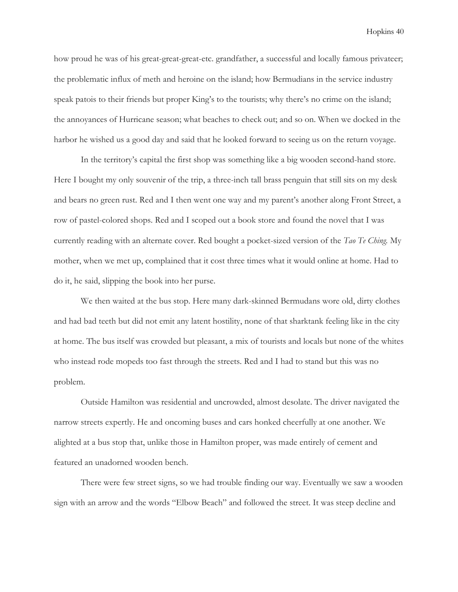how proud he was of his great-great-great-etc. grandfather, a successful and locally famous privateer; the problematic influx of meth and heroine on the island; how Bermudians in the service industry speak patois to their friends but proper King's to the tourists; why there's no crime on the island; the annoyances of Hurricane season; what beaches to check out; and so on. When we docked in the harbor he wished us a good day and said that he looked forward to seeing us on the return voyage.

 In the territory's capital the first shop was something like a big wooden second-hand store. Here I bought my only souvenir of the trip, a three-inch tall brass penguin that still sits on my desk and bears no green rust. Red and I then went one way and my parent's another along Front Street, a row of pastel-colored shops. Red and I scoped out a book store and found the novel that I was currently reading with an alternate cover. Red bought a pocket-sized version of the Tao Te Ching. My mother, when we met up, complained that it cost three times what it would online at home. Had to do it, he said, slipping the book into her purse.

 We then waited at the bus stop. Here many dark-skinned Bermudans wore old, dirty clothes and had bad teeth but did not emit any latent hostility, none of that sharktank feeling like in the city at home. The bus itself was crowded but pleasant, a mix of tourists and locals but none of the whites who instead rode mopeds too fast through the streets. Red and I had to stand but this was no problem.

 Outside Hamilton was residential and uncrowded, almost desolate. The driver navigated the narrow streets expertly. He and oncoming buses and cars honked cheerfully at one another. We alighted at a bus stop that, unlike those in Hamilton proper, was made entirely of cement and featured an unadorned wooden bench.

 There were few street signs, so we had trouble finding our way. Eventually we saw a wooden sign with an arrow and the words "Elbow Beach" and followed the street. It was steep decline and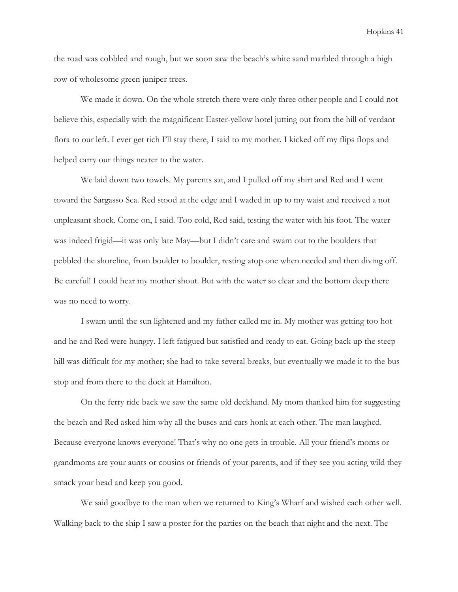the road was cobbled and rough, but we soon saw the beach's white sand marbled through a high row of wholesome green juniper trees.

 We made it down. On the whole stretch there were only three other people and I could not believe this, especially with the magnificent Easter-yellow hotel jutting out from the hill of verdant flora to our left. I ever get rich I'll stay there, I said to my mother. I kicked off my flips flops and helped carry our things nearer to the water.

 We laid down two towels. My parents sat, and I pulled off my shirt and Red and I went toward the Sargasso Sea. Red stood at the edge and I waded in up to my waist and received a not unpleasant shock. Come on, I said. Too cold, Red said, testing the water with his foot. The water was indeed frigid—it was only late May—but I didn't care and swam out to the boulders that pebbled the shoreline, from boulder to boulder, resting atop one when needed and then diving off. Be careful! I could hear my mother shout. But with the water so clear and the bottom deep there was no need to worry.

 I swam until the sun lightened and my father called me in. My mother was getting too hot and he and Red were hungry. I left fatigued but satisfied and ready to eat. Going back up the steep hill was difficult for my mother; she had to take several breaks, but eventually we made it to the bus stop and from there to the dock at Hamilton.

 On the ferry ride back we saw the same old deckhand. My mom thanked him for suggesting the beach and Red asked him why all the buses and cars honk at each other. The man laughed. Because everyone knows everyone! That's why no one gets in trouble. All your friend's moms or grandmoms are your aunts or cousins or friends of your parents, and if they see you acting wild they smack your head and keep you good.

 We said goodbye to the man when we returned to King's Wharf and wished each other well. Walking back to the ship I saw a poster for the parties on the beach that night and the next. The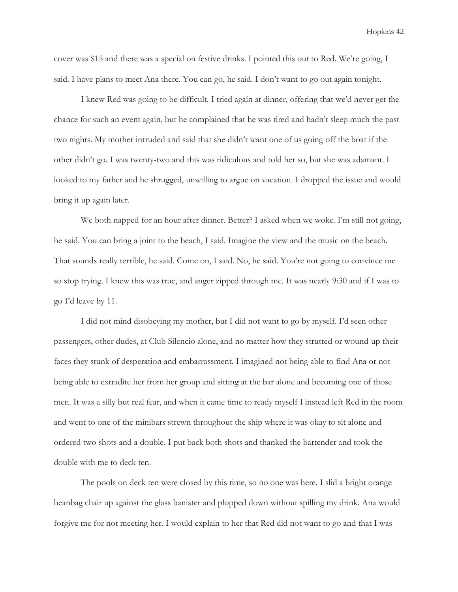cover was \$15 and there was a special on festive drinks. I pointed this out to Red. We're going, I said. I have plans to meet Ana there. You can go, he said. I don't want to go out again tonight.

 I knew Red was going to be difficult. I tried again at dinner, offering that we'd never get the chance for such an event again, but he complained that he was tired and hadn't sleep much the past two nights. My mother intruded and said that she didn't want one of us going off the boat if the other didn't go. I was twenty-two and this was ridiculous and told her so, but she was adamant. I looked to my father and he shrugged, unwilling to argue on vacation. I dropped the issue and would bring it up again later.

We both napped for an hour after dinner. Better? I asked when we woke. I'm still not going, he said. You can bring a joint to the beach, I said. Imagine the view and the music on the beach. That sounds really terrible, he said. Come on, I said. No, he said. You're not going to convince me so stop trying. I knew this was true, and anger zipped through me. It was nearly 9:30 and if I was to go I'd leave by 11.

 I did not mind disobeying my mother, but I did not want to go by myself. I'd seen other passengers, other dudes, at Club Silencio alone, and no matter how they strutted or wound-up their faces they stunk of desperation and embarrassment. I imagined not being able to find Ana or not being able to extradite her from her group and sitting at the bar alone and becoming one of those men. It was a silly but real fear, and when it came time to ready myself I instead left Red in the room and went to one of the minibars strewn throughout the ship where it was okay to sit alone and ordered two shots and a double. I put back both shots and thanked the bartender and took the double with me to deck ten.

 The pools on deck ten were closed by this time, so no one was here. I slid a bright orange beanbag chair up against the glass banister and plopped down without spilling my drink. Ana would forgive me for not meeting her. I would explain to her that Red did not want to go and that I was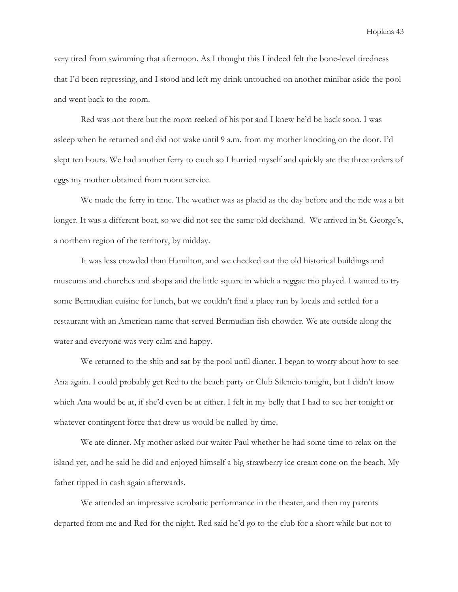very tired from swimming that afternoon. As I thought this I indeed felt the bone-level tiredness that I'd been repressing, and I stood and left my drink untouched on another minibar aside the pool and went back to the room.

 Red was not there but the room reeked of his pot and I knew he'd be back soon. I was asleep when he returned and did not wake until 9 a.m. from my mother knocking on the door. I'd slept ten hours. We had another ferry to catch so I hurried myself and quickly ate the three orders of eggs my mother obtained from room service.

 We made the ferry in time. The weather was as placid as the day before and the ride was a bit longer. It was a different boat, so we did not see the same old deckhand. We arrived in St. George's, a northern region of the territory, by midday.

 It was less crowded than Hamilton, and we checked out the old historical buildings and museums and churches and shops and the little square in which a reggae trio played. I wanted to try some Bermudian cuisine for lunch, but we couldn't find a place run by locals and settled for a restaurant with an American name that served Bermudian fish chowder. We ate outside along the water and everyone was very calm and happy.

 We returned to the ship and sat by the pool until dinner. I began to worry about how to see Ana again. I could probably get Red to the beach party or Club Silencio tonight, but I didn't know which Ana would be at, if she'd even be at either. I felt in my belly that I had to see her tonight or whatever contingent force that drew us would be nulled by time.

 We ate dinner. My mother asked our waiter Paul whether he had some time to relax on the island yet, and he said he did and enjoyed himself a big strawberry ice cream cone on the beach. My father tipped in cash again afterwards.

 We attended an impressive acrobatic performance in the theater, and then my parents departed from me and Red for the night. Red said he'd go to the club for a short while but not to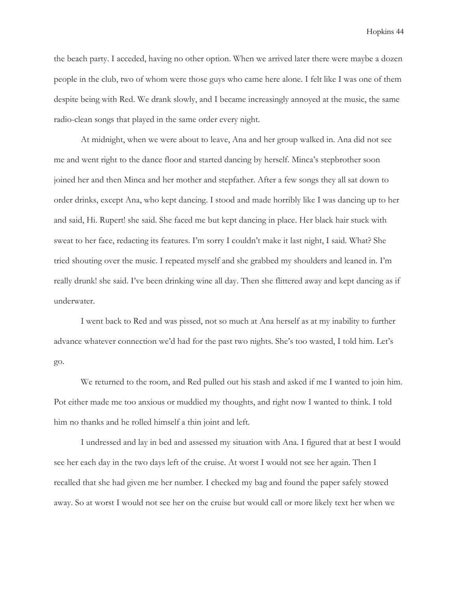the beach party. I acceded, having no other option. When we arrived later there were maybe a dozen people in the club, two of whom were those guys who came here alone. I felt like I was one of them despite being with Red. We drank slowly, and I became increasingly annoyed at the music, the same radio-clean songs that played in the same order every night.

 At midnight, when we were about to leave, Ana and her group walked in. Ana did not see me and went right to the dance floor and started dancing by herself. Minca's stepbrother soon joined her and then Minca and her mother and stepfather. After a few songs they all sat down to order drinks, except Ana, who kept dancing. I stood and made horribly like I was dancing up to her and said, Hi. Rupert! she said. She faced me but kept dancing in place. Her black hair stuck with sweat to her face, redacting its features. I'm sorry I couldn't make it last night, I said. What? She tried shouting over the music. I repeated myself and she grabbed my shoulders and leaned in. I'm really drunk! she said. I've been drinking wine all day. Then she flittered away and kept dancing as if underwater.

 I went back to Red and was pissed, not so much at Ana herself as at my inability to further advance whatever connection we'd had for the past two nights. She's too wasted, I told him. Let's go.

 We returned to the room, and Red pulled out his stash and asked if me I wanted to join him. Pot either made me too anxious or muddied my thoughts, and right now I wanted to think. I told him no thanks and he rolled himself a thin joint and left.

 I undressed and lay in bed and assessed my situation with Ana. I figured that at best I would see her each day in the two days left of the cruise. At worst I would not see her again. Then I recalled that she had given me her number. I checked my bag and found the paper safely stowed away. So at worst I would not see her on the cruise but would call or more likely text her when we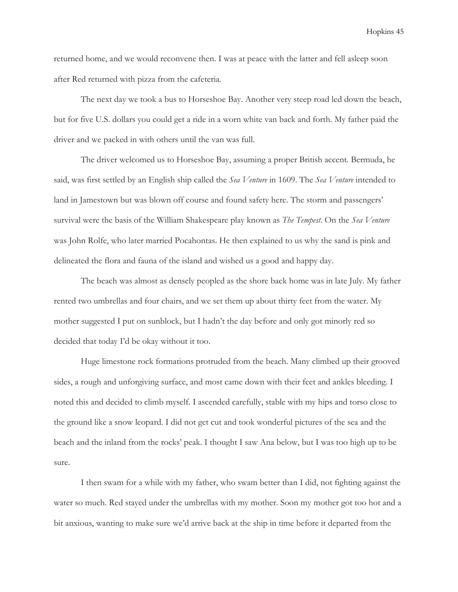returned home, and we would reconvene then. I was at peace with the latter and fell asleep soon after Red returned with pizza from the cafeteria.

 The next day we took a bus to Horseshoe Bay. Another very steep road led down the beach, but for five U.S. dollars you could get a ride in a worn white van back and forth. My father paid the driver and we packed in with others until the van was full.

 The driver welcomed us to Horseshoe Bay, assuming a proper British accent. Bermuda, he said, was first settled by an English ship called the Sea Venture in 1609. The Sea Venture intended to land in Jamestown but was blown off course and found safety here. The storm and passengers' survival were the basis of the William Shakespeare play known as *The Tempest*. On the Sea Venture was John Rolfe, who later married Pocahontas. He then explained to us why the sand is pink and delineated the flora and fauna of the island and wished us a good and happy day.

 The beach was almost as densely peopled as the shore back home was in late July. My father rented two umbrellas and four chairs, and we set them up about thirty feet from the water. My mother suggested I put on sunblock, but I hadn't the day before and only got minorly red so decided that today I'd be okay without it too.

 Huge limestone rock formations protruded from the beach. Many climbed up their grooved sides, a rough and unforgiving surface, and most came down with their feet and ankles bleeding. I noted this and decided to climb myself. I ascended carefully, stable with my hips and torso close to the ground like a snow leopard. I did not get cut and took wonderful pictures of the sea and the beach and the inland from the rocks' peak. I thought I saw Ana below, but I was too high up to be sure.

 I then swam for a while with my father, who swam better than I did, not fighting against the water so much. Red stayed under the umbrellas with my mother. Soon my mother got too hot and a bit anxious, wanting to make sure we'd arrive back at the ship in time before it departed from the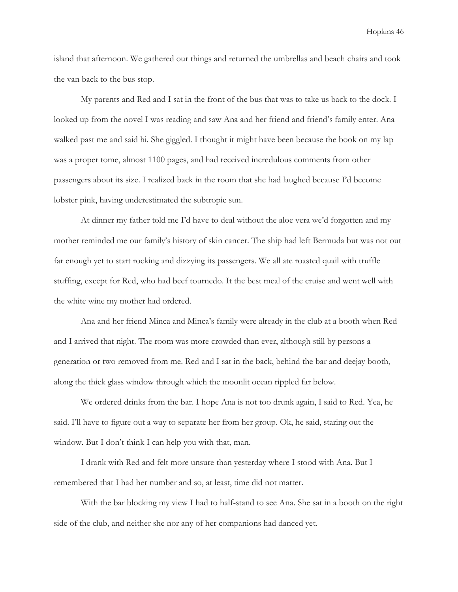island that afternoon. We gathered our things and returned the umbrellas and beach chairs and took the van back to the bus stop.

 My parents and Red and I sat in the front of the bus that was to take us back to the dock. I looked up from the novel I was reading and saw Ana and her friend and friend's family enter. Ana walked past me and said hi. She giggled. I thought it might have been because the book on my lap was a proper tome, almost 1100 pages, and had received incredulous comments from other passengers about its size. I realized back in the room that she had laughed because I'd become lobster pink, having underestimated the subtropic sun.

 At dinner my father told me I'd have to deal without the aloe vera we'd forgotten and my mother reminded me our family's history of skin cancer. The ship had left Bermuda but was not out far enough yet to start rocking and dizzying its passengers. We all ate roasted quail with truffle stuffing, except for Red, who had beef tournedo. It the best meal of the cruise and went well with the white wine my mother had ordered.

 Ana and her friend Minca and Minca's family were already in the club at a booth when Red and I arrived that night. The room was more crowded than ever, although still by persons a generation or two removed from me. Red and I sat in the back, behind the bar and deejay booth, along the thick glass window through which the moonlit ocean rippled far below.

 We ordered drinks from the bar. I hope Ana is not too drunk again, I said to Red. Yea, he said. I'll have to figure out a way to separate her from her group. Ok, he said, staring out the window. But I don't think I can help you with that, man.

 I drank with Red and felt more unsure than yesterday where I stood with Ana. But I remembered that I had her number and so, at least, time did not matter.

 With the bar blocking my view I had to half-stand to see Ana. She sat in a booth on the right side of the club, and neither she nor any of her companions had danced yet.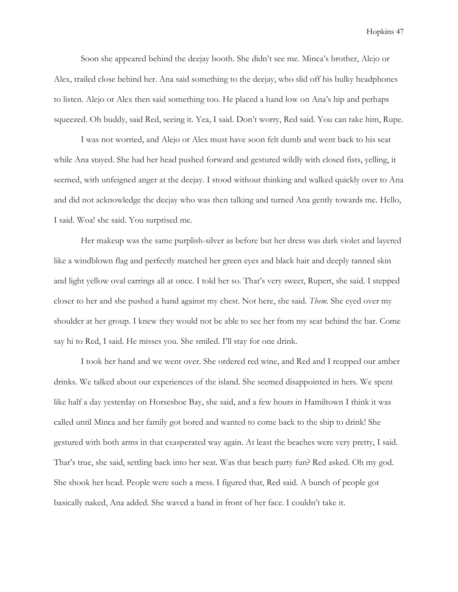Soon she appeared behind the deejay booth. She didn't see me. Minca's brother, Alejo or Alex, trailed close behind her. Ana said something to the deejay, who slid off his bulky headphones to listen. Alejo or Alex then said something too. He placed a hand low on Ana's hip and perhaps squeezed. Oh buddy, said Red, seeing it. Yea, I said. Don't worry, Red said. You can take him, Rupe.

 I was not worried, and Alejo or Alex must have soon felt dumb and went back to his seat while Ana stayed. She had her head pushed forward and gestured wildly with closed fists, yelling, it seemed, with unfeigned anger at the deejay. I stood without thinking and walked quickly over to Ana and did not acknowledge the deejay who was then talking and turned Ana gently towards me. Hello, I said. Woa! she said. You surprised me.

 Her makeup was the same purplish-silver as before but her dress was dark violet and layered like a windblown flag and perfectly matched her green eyes and black hair and deeply tanned skin and light yellow oval earrings all at once. I told her so. That's very sweet, Rupert, she said. I stepped closer to her and she pushed a hand against my chest. Not here, she said. Them. She eyed over my shoulder at her group. I knew they would not be able to see her from my seat behind the bar. Come say hi to Red, I said. He misses you. She smiled. I'll stay for one drink.

 I took her hand and we went over. She ordered red wine, and Red and I reupped our amber drinks. We talked about our experiences of the island. She seemed disappointed in hers. We spent like half a day yesterday on Horseshoe Bay, she said, and a few hours in Hamiltown I think it was called until Minca and her family got bored and wanted to come back to the ship to drink! She gestured with both arms in that exasperated way again. At least the beaches were very pretty, I said. That's true, she said, settling back into her seat. Was that beach party fun? Red asked. Oh my god. She shook her head. People were such a mess. I figured that, Red said. A bunch of people got basically naked, Ana added. She waved a hand in front of her face. I couldn't take it.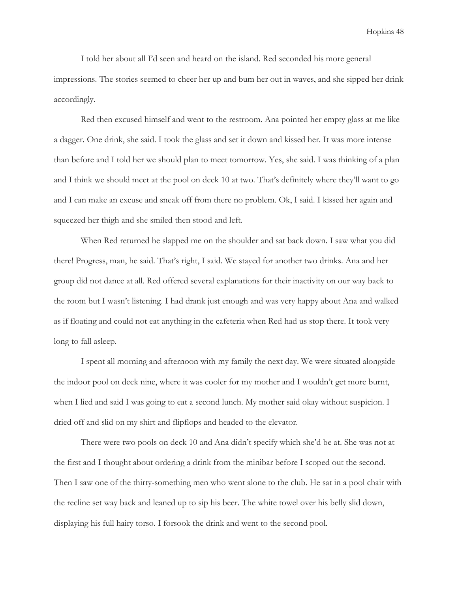I told her about all I'd seen and heard on the island. Red seconded his more general impressions. The stories seemed to cheer her up and bum her out in waves, and she sipped her drink accordingly.

 Red then excused himself and went to the restroom. Ana pointed her empty glass at me like a dagger. One drink, she said. I took the glass and set it down and kissed her. It was more intense than before and I told her we should plan to meet tomorrow. Yes, she said. I was thinking of a plan and I think we should meet at the pool on deck 10 at two. That's definitely where they'll want to go and I can make an excuse and sneak off from there no problem. Ok, I said. I kissed her again and squeezed her thigh and she smiled then stood and left.

 When Red returned he slapped me on the shoulder and sat back down. I saw what you did there! Progress, man, he said. That's right, I said. We stayed for another two drinks. Ana and her group did not dance at all. Red offered several explanations for their inactivity on our way back to the room but I wasn't listening. I had drank just enough and was very happy about Ana and walked as if floating and could not eat anything in the cafeteria when Red had us stop there. It took very long to fall asleep.

 I spent all morning and afternoon with my family the next day. We were situated alongside the indoor pool on deck nine, where it was cooler for my mother and I wouldn't get more burnt, when I lied and said I was going to eat a second lunch. My mother said okay without suspicion. I dried off and slid on my shirt and flipflops and headed to the elevator.

 There were two pools on deck 10 and Ana didn't specify which she'd be at. She was not at the first and I thought about ordering a drink from the minibar before I scoped out the second. Then I saw one of the thirty-something men who went alone to the club. He sat in a pool chair with the recline set way back and leaned up to sip his beer. The white towel over his belly slid down, displaying his full hairy torso. I forsook the drink and went to the second pool.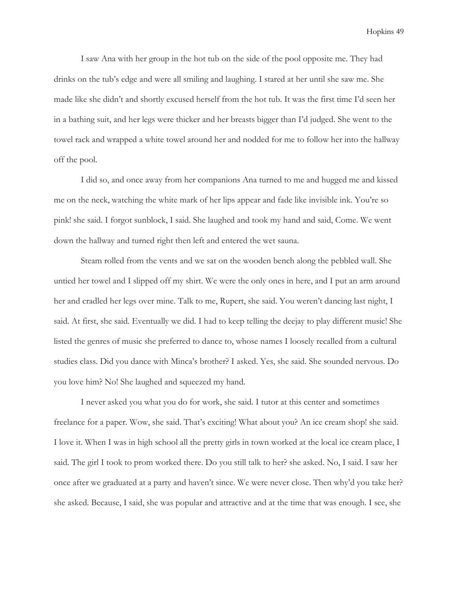I saw Ana with her group in the hot tub on the side of the pool opposite me. They had drinks on the tub's edge and were all smiling and laughing. I stared at her until she saw me. She made like she didn't and shortly excused herself from the hot tub. It was the first time I'd seen her in a bathing suit, and her legs were thicker and her breasts bigger than I'd judged. She went to the towel rack and wrapped a white towel around her and nodded for me to follow her into the hallway off the pool.

 I did so, and once away from her companions Ana turned to me and hugged me and kissed me on the neck, watching the white mark of her lips appear and fade like invisible ink. You're so pink! she said. I forgot sunblock, I said. She laughed and took my hand and said, Come. We went down the hallway and turned right then left and entered the wet sauna.

 Steam rolled from the vents and we sat on the wooden bench along the pebbled wall. She untied her towel and I slipped off my shirt. We were the only ones in here, and I put an arm around her and cradled her legs over mine. Talk to me, Rupert, she said. You weren't dancing last night, I said. At first, she said. Eventually we did. I had to keep telling the deejay to play different music! She listed the genres of music she preferred to dance to, whose names I loosely recalled from a cultural studies class. Did you dance with Minca's brother? I asked. Yes, she said. She sounded nervous. Do you love him? No! She laughed and squeezed my hand.

 I never asked you what you do for work, she said. I tutor at this center and sometimes freelance for a paper. Wow, she said. That's exciting! What about you? An ice cream shop! she said. I love it. When I was in high school all the pretty girls in town worked at the local ice cream place, I said. The girl I took to prom worked there. Do you still talk to her? she asked. No, I said. I saw her once after we graduated at a party and haven't since. We were never close. Then why'd you take her? she asked. Because, I said, she was popular and attractive and at the time that was enough. I see, she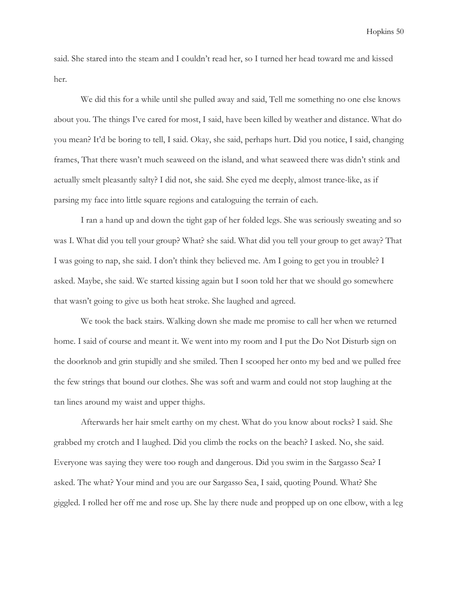said. She stared into the steam and I couldn't read her, so I turned her head toward me and kissed her.

 We did this for a while until she pulled away and said, Tell me something no one else knows about you. The things I've cared for most, I said, have been killed by weather and distance. What do you mean? It'd be boring to tell, I said. Okay, she said, perhaps hurt. Did you notice, I said, changing frames, That there wasn't much seaweed on the island, and what seaweed there was didn't stink and actually smelt pleasantly salty? I did not, she said. She eyed me deeply, almost trance-like, as if parsing my face into little square regions and cataloguing the terrain of each.

 I ran a hand up and down the tight gap of her folded legs. She was seriously sweating and so was I. What did you tell your group? What? she said. What did you tell your group to get away? That I was going to nap, she said. I don't think they believed me. Am I going to get you in trouble? I asked. Maybe, she said. We started kissing again but I soon told her that we should go somewhere that wasn't going to give us both heat stroke. She laughed and agreed.

 We took the back stairs. Walking down she made me promise to call her when we returned home. I said of course and meant it. We went into my room and I put the Do Not Disturb sign on the doorknob and grin stupidly and she smiled. Then I scooped her onto my bed and we pulled free the few strings that bound our clothes. She was soft and warm and could not stop laughing at the tan lines around my waist and upper thighs.

 Afterwards her hair smelt earthy on my chest. What do you know about rocks? I said. She grabbed my crotch and I laughed. Did you climb the rocks on the beach? I asked. No, she said. Everyone was saying they were too rough and dangerous. Did you swim in the Sargasso Sea? I asked. The what? Your mind and you are our Sargasso Sea, I said, quoting Pound. What? She giggled. I rolled her off me and rose up. She lay there nude and propped up on one elbow, with a leg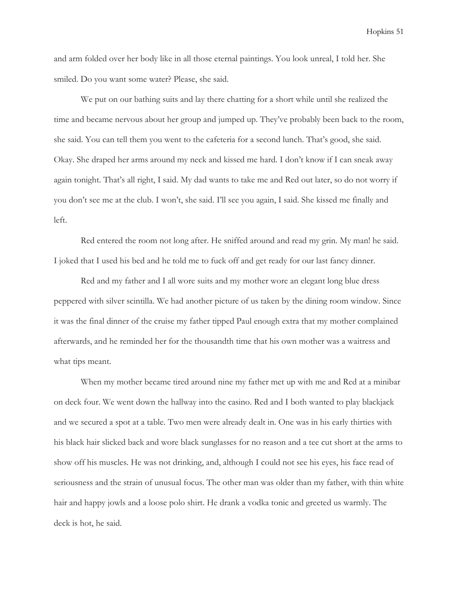and arm folded over her body like in all those eternal paintings. You look unreal, I told her. She smiled. Do you want some water? Please, she said.

 We put on our bathing suits and lay there chatting for a short while until she realized the time and became nervous about her group and jumped up. They've probably been back to the room, she said. You can tell them you went to the cafeteria for a second lunch. That's good, she said. Okay. She draped her arms around my neck and kissed me hard. I don't know if I can sneak away again tonight. That's all right, I said. My dad wants to take me and Red out later, so do not worry if you don't see me at the club. I won't, she said. I'll see you again, I said. She kissed me finally and left.

 Red entered the room not long after. He sniffed around and read my grin. My man! he said. I joked that I used his bed and he told me to fuck off and get ready for our last fancy dinner.

 Red and my father and I all wore suits and my mother wore an elegant long blue dress peppered with silver scintilla. We had another picture of us taken by the dining room window. Since it was the final dinner of the cruise my father tipped Paul enough extra that my mother complained afterwards, and he reminded her for the thousandth time that his own mother was a waitress and what tips meant.

 When my mother became tired around nine my father met up with me and Red at a minibar on deck four. We went down the hallway into the casino. Red and I both wanted to play blackjack and we secured a spot at a table. Two men were already dealt in. One was in his early thirties with his black hair slicked back and wore black sunglasses for no reason and a tee cut short at the arms to show off his muscles. He was not drinking, and, although I could not see his eyes, his face read of seriousness and the strain of unusual focus. The other man was older than my father, with thin white hair and happy jowls and a loose polo shirt. He drank a vodka tonic and greeted us warmly. The deck is hot, he said.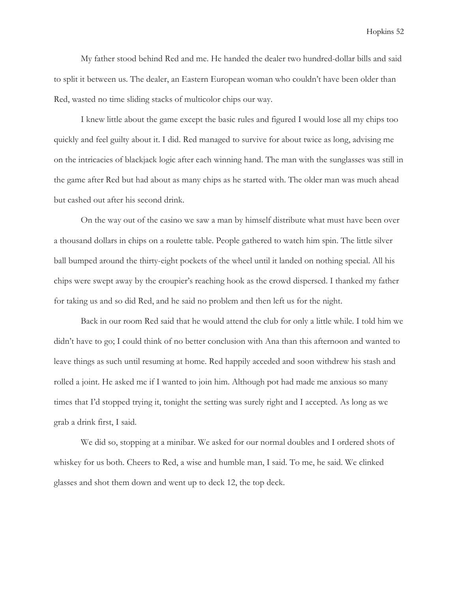My father stood behind Red and me. He handed the dealer two hundred-dollar bills and said to split it between us. The dealer, an Eastern European woman who couldn't have been older than Red, wasted no time sliding stacks of multicolor chips our way.

 I knew little about the game except the basic rules and figured I would lose all my chips too quickly and feel guilty about it. I did. Red managed to survive for about twice as long, advising me on the intricacies of blackjack logic after each winning hand. The man with the sunglasses was still in the game after Red but had about as many chips as he started with. The older man was much ahead but cashed out after his second drink.

 On the way out of the casino we saw a man by himself distribute what must have been over a thousand dollars in chips on a roulette table. People gathered to watch him spin. The little silver ball bumped around the thirty-eight pockets of the wheel until it landed on nothing special. All his chips were swept away by the croupier's reaching hook as the crowd dispersed. I thanked my father for taking us and so did Red, and he said no problem and then left us for the night.

 Back in our room Red said that he would attend the club for only a little while. I told him we didn't have to go; I could think of no better conclusion with Ana than this afternoon and wanted to leave things as such until resuming at home. Red happily acceded and soon withdrew his stash and rolled a joint. He asked me if I wanted to join him. Although pot had made me anxious so many times that I'd stopped trying it, tonight the setting was surely right and I accepted. As long as we grab a drink first, I said.

 We did so, stopping at a minibar. We asked for our normal doubles and I ordered shots of whiskey for us both. Cheers to Red, a wise and humble man, I said. To me, he said. We clinked glasses and shot them down and went up to deck 12, the top deck.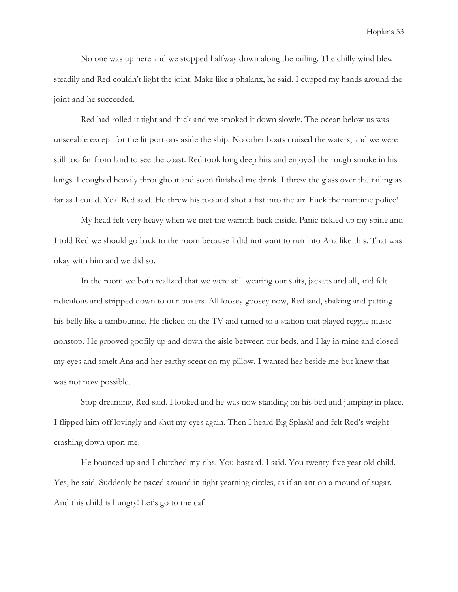No one was up here and we stopped halfway down along the railing. The chilly wind blew steadily and Red couldn't light the joint. Make like a phalanx, he said. I cupped my hands around the joint and he succeeded.

 Red had rolled it tight and thick and we smoked it down slowly. The ocean below us was unseeable except for the lit portions aside the ship. No other boats cruised the waters, and we were still too far from land to see the coast. Red took long deep hits and enjoyed the rough smoke in his lungs. I coughed heavily throughout and soon finished my drink. I threw the glass over the railing as far as I could. Yea! Red said. He threw his too and shot a fist into the air. Fuck the maritime police!

 My head felt very heavy when we met the warmth back inside. Panic tickled up my spine and I told Red we should go back to the room because I did not want to run into Ana like this. That was okay with him and we did so.

 In the room we both realized that we were still wearing our suits, jackets and all, and felt ridiculous and stripped down to our boxers. All loosey goosey now, Red said, shaking and patting his belly like a tambourine. He flicked on the TV and turned to a station that played reggae music nonstop. He grooved goofily up and down the aisle between our beds, and I lay in mine and closed my eyes and smelt Ana and her earthy scent on my pillow. I wanted her beside me but knew that was not now possible.

 Stop dreaming, Red said. I looked and he was now standing on his bed and jumping in place. I flipped him off lovingly and shut my eyes again. Then I heard Big Splash! and felt Red's weight crashing down upon me.

 He bounced up and I clutched my ribs. You bastard, I said. You twenty-five year old child. Yes, he said. Suddenly he paced around in tight yearning circles, as if an ant on a mound of sugar. And this child is hungry! Let's go to the caf.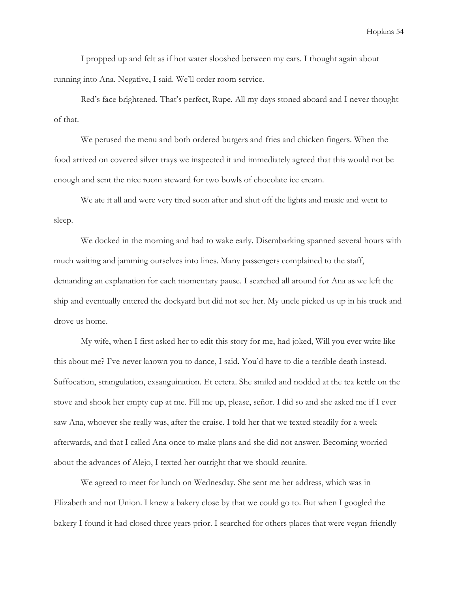I propped up and felt as if hot water slooshed between my ears. I thought again about running into Ana. Negative, I said. We'll order room service.

 Red's face brightened. That's perfect, Rupe. All my days stoned aboard and I never thought of that.

 We perused the menu and both ordered burgers and fries and chicken fingers. When the food arrived on covered silver trays we inspected it and immediately agreed that this would not be enough and sent the nice room steward for two bowls of chocolate ice cream.

 We ate it all and were very tired soon after and shut off the lights and music and went to sleep.

 We docked in the morning and had to wake early. Disembarking spanned several hours with much waiting and jamming ourselves into lines. Many passengers complained to the staff, demanding an explanation for each momentary pause. I searched all around for Ana as we left the ship and eventually entered the dockyard but did not see her. My uncle picked us up in his truck and drove us home.

 My wife, when I first asked her to edit this story for me, had joked, Will you ever write like this about me? I've never known you to dance, I said. You'd have to die a terrible death instead. Suffocation, strangulation, exsanguination. Et cetera. She smiled and nodded at the tea kettle on the stove and shook her empty cup at me. Fill me up, please, señor. I did so and she asked me if I ever saw Ana, whoever she really was, after the cruise. I told her that we texted steadily for a week afterwards, and that I called Ana once to make plans and she did not answer. Becoming worried about the advances of Alejo, I texted her outright that we should reunite.

 We agreed to meet for lunch on Wednesday. She sent me her address, which was in Elizabeth and not Union. I knew a bakery close by that we could go to. But when I googled the bakery I found it had closed three years prior. I searched for others places that were vegan-friendly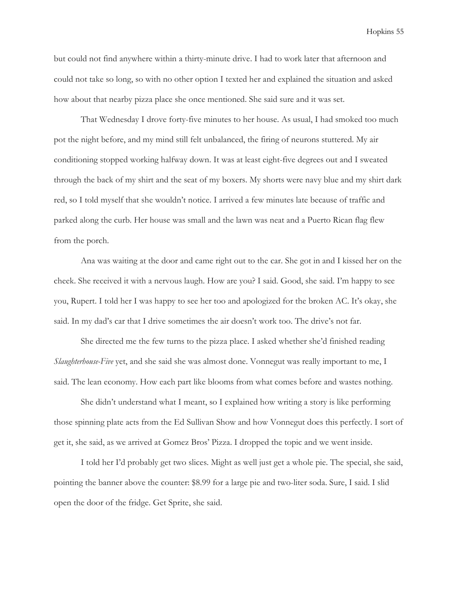but could not find anywhere within a thirty-minute drive. I had to work later that afternoon and could not take so long, so with no other option I texted her and explained the situation and asked how about that nearby pizza place she once mentioned. She said sure and it was set.

 That Wednesday I drove forty-five minutes to her house. As usual, I had smoked too much pot the night before, and my mind still felt unbalanced, the firing of neurons stuttered. My air conditioning stopped working halfway down. It was at least eight-five degrees out and I sweated through the back of my shirt and the seat of my boxers. My shorts were navy blue and my shirt dark red, so I told myself that she wouldn't notice. I arrived a few minutes late because of traffic and parked along the curb. Her house was small and the lawn was neat and a Puerto Rican flag flew from the porch.

 Ana was waiting at the door and came right out to the car. She got in and I kissed her on the cheek. She received it with a nervous laugh. How are you? I said. Good, she said. I'm happy to see you, Rupert. I told her I was happy to see her too and apologized for the broken AC. It's okay, she said. In my dad's car that I drive sometimes the air doesn't work too. The drive's not far.

 She directed me the few turns to the pizza place. I asked whether she'd finished reading Slaughterhouse-Five yet, and she said she was almost done. Vonnegut was really important to me, I said. The lean economy. How each part like blooms from what comes before and wastes nothing.

 She didn't understand what I meant, so I explained how writing a story is like performing those spinning plate acts from the Ed Sullivan Show and how Vonnegut does this perfectly. I sort of get it, she said, as we arrived at Gomez Bros' Pizza. I dropped the topic and we went inside.

 I told her I'd probably get two slices. Might as well just get a whole pie. The special, she said, pointing the banner above the counter: \$8.99 for a large pie and two-liter soda. Sure, I said. I slid open the door of the fridge. Get Sprite, she said.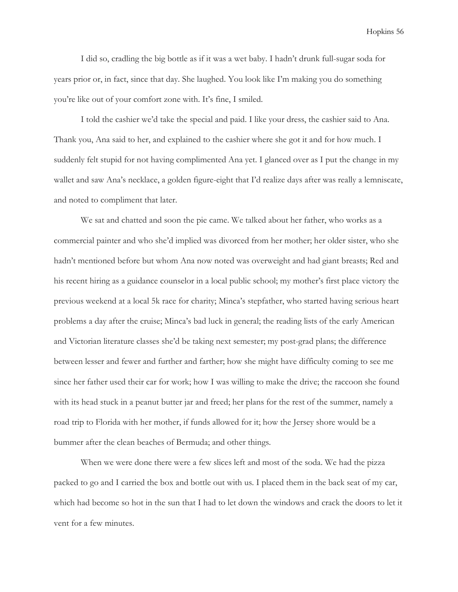I did so, cradling the big bottle as if it was a wet baby. I hadn't drunk full-sugar soda for years prior or, in fact, since that day. She laughed. You look like I'm making you do something you're like out of your comfort zone with. It's fine, I smiled.

 I told the cashier we'd take the special and paid. I like your dress, the cashier said to Ana. Thank you, Ana said to her, and explained to the cashier where she got it and for how much. I suddenly felt stupid for not having complimented Ana yet. I glanced over as I put the change in my wallet and saw Ana's necklace, a golden figure-eight that I'd realize days after was really a lemniscate, and noted to compliment that later.

 We sat and chatted and soon the pie came. We talked about her father, who works as a commercial painter and who she'd implied was divorced from her mother; her older sister, who she hadn't mentioned before but whom Ana now noted was overweight and had giant breasts; Red and his recent hiring as a guidance counselor in a local public school; my mother's first place victory the previous weekend at a local 5k race for charity; Minca's stepfather, who started having serious heart problems a day after the cruise; Minca's bad luck in general; the reading lists of the early American and Victorian literature classes she'd be taking next semester; my post-grad plans; the difference between lesser and fewer and further and farther; how she might have difficulty coming to see me since her father used their car for work; how I was willing to make the drive; the raccoon she found with its head stuck in a peanut butter jar and freed; her plans for the rest of the summer, namely a road trip to Florida with her mother, if funds allowed for it; how the Jersey shore would be a bummer after the clean beaches of Bermuda; and other things.

 When we were done there were a few slices left and most of the soda. We had the pizza packed to go and I carried the box and bottle out with us. I placed them in the back seat of my car, which had become so hot in the sun that I had to let down the windows and crack the doors to let it vent for a few minutes.